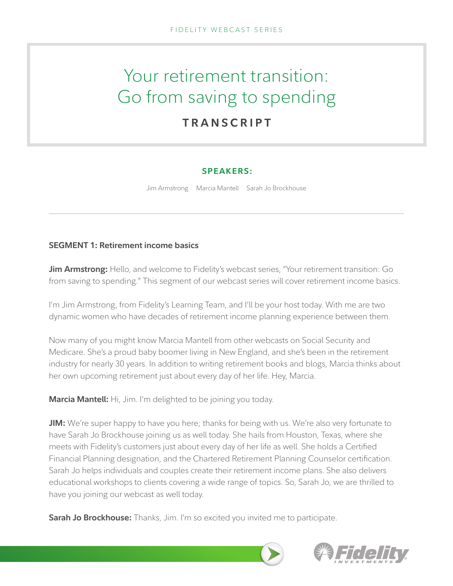# Your retirement transition: Go from saving to spending **TRANSCRIPT**

# **SPEAKERS:**

Jim Armstrong Marcia Mantell Sarah Jo Brockhouse

# **SEGMENT 1: Retirement income basics**

**Jim Armstrong:** Hello, and welcome to Fidelity's webcast series, "Your retirement transition: Go from saving to spending." This segment of our webcast series will cover retirement income basics.

I'm Jim Armstrong, from Fidelity's Learning Team, and I'll be your host today. With me are two dynamic women who have decades of retirement income planning experience between them.

Now many of you might know Marcia Mantell from other webcasts on Social Security and Medicare. She's a proud baby boomer living in New England, and she's been in the retirement industry for nearly 30 years. In addition to writing retirement books and blogs, Marcia thinks about her own upcoming retirement just about every day of her life. Hey, Marcia.

**Marcia Mantell:** Hi, Jim. I'm delighted to be joining you today.

**JIM:** We're super happy to have you here; thanks for being with us. We're also very fortunate to have Sarah Jo Brockhouse joining us as well today. She hails from Houston, Texas, where she meets with Fidelity's customers just about every day of her life as well. She holds a Certified Financial Planning designation, and the Chartered Retirement Planning Counselor certification. Sarah Jo helps individuals and couples create their retirement income plans. She also delivers educational workshops to clients covering a wide range of topics. So, Sarah Jo, we are thrilled to have you joining our webcast as well today.

**Sarah Jo Brockhouse:** Thanks, Jim. I'm so excited you invited me to participate.

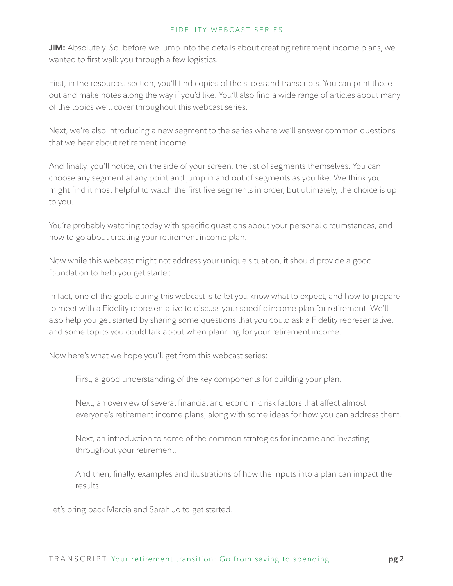**JIM:** Absolutely. So, before we jump into the details about creating retirement income plans, we wanted to first walk you through a few logistics.

First, in the resources section, you'll find copies of the slides and transcripts. You can print those out and make notes along the way if you'd like. You'll also find a wide range of articles about many of the topics we'll cover throughout this webcast series.

Next, we're also introducing a new segment to the series where we'll answer common questions that we hear about retirement income.

And finally, you'll notice, on the side of your screen, the list of segments themselves. You can choose any segment at any point and jump in and out of segments as you like. We think you might find it most helpful to watch the first five segments in order, but ultimately, the choice is up to you.

You're probably watching today with specific questions about your personal circumstances, and how to go about creating your retirement income plan.

Now while this webcast might not address your unique situation, it should provide a good foundation to help you get started.

In fact, one of the goals during this webcast is to let you know what to expect, and how to prepare to meet with a Fidelity representative to discuss your specific income plan for retirement. We'll also help you get started by sharing some questions that you could ask a Fidelity representative, and some topics you could talk about when planning for your retirement income.

Now here's what we hope you'll get from this webcast series:

First, a good understanding of the key components for building your plan.

Next, an overview of several financial and economic risk factors that affect almost everyone's retirement income plans, along with some ideas for how you can address them.

Next, an introduction to some of the common strategies for income and investing throughout your retirement,

And then, finally, examples and illustrations of how the inputs into a plan can impact the results.

Let's bring back Marcia and Sarah Jo to get started.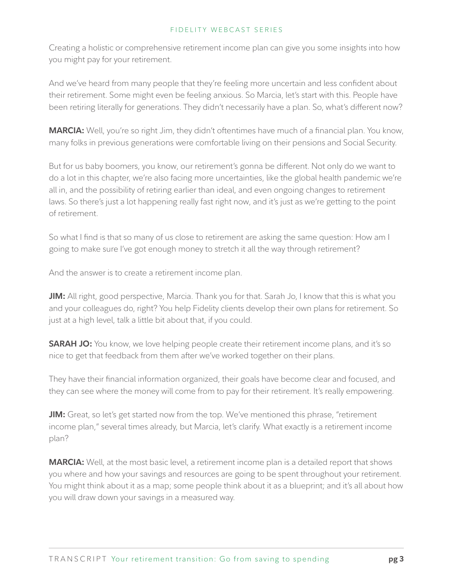Creating a holistic or comprehensive retirement income plan can give you some insights into how you might pay for your retirement.

And we've heard from many people that they're feeling more uncertain and less confident about their retirement. Some might even be feeling anxious. So Marcia, let's start with this. People have been retiring literally for generations. They didn't necessarily have a plan. So, what's different now?

**MARCIA:** Well, you're so right Jim, they didn't oftentimes have much of a financial plan. You know, many folks in previous generations were comfortable living on their pensions and Social Security.

But for us baby boomers, you know, our retirement's gonna be different. Not only do we want to do a lot in this chapter, we're also facing more uncertainties, like the global health pandemic we're all in, and the possibility of retiring earlier than ideal, and even ongoing changes to retirement laws. So there's just a lot happening really fast right now, and it's just as we're getting to the point of retirement.

So what I find is that so many of us close to retirement are asking the same question: How am I going to make sure I've got enough money to stretch it all the way through retirement?

And the answer is to create a retirement income plan.

**JIM:** All right, good perspective, Marcia. Thank you for that. Sarah Jo, I know that this is what you and your colleagues do, right? You help Fidelity clients develop their own plans for retirement. So just at a high level, talk a little bit about that, if you could.

**SARAH JO:** You know, we love helping people create their retirement income plans, and it's so nice to get that feedback from them after we've worked together on their plans.

They have their financial information organized, their goals have become clear and focused, and they can see where the money will come from to pay for their retirement. It's really empowering.

**JIM:** Great, so let's get started now from the top. We've mentioned this phrase, "retirement income plan," several times already, but Marcia, let's clarify. What exactly is a retirement income plan?

**MARCIA:** Well, at the most basic level, a retirement income plan is a detailed report that shows you where and how your savings and resources are going to be spent throughout your retirement. You might think about it as a map; some people think about it as a blueprint; and it's all about how you will draw down your savings in a measured way.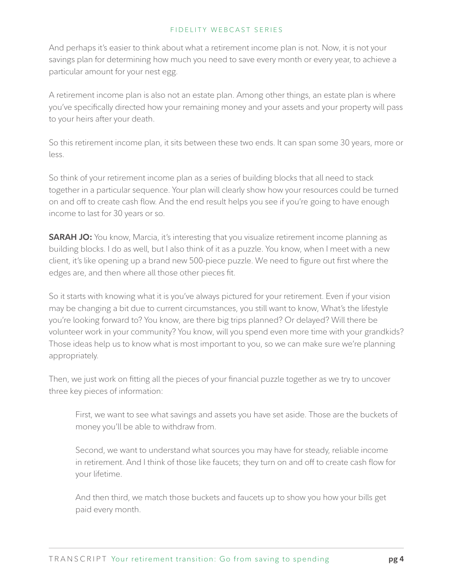And perhaps it's easier to think about what a retirement income plan is not. Now, it is not your savings plan for determining how much you need to save every month or every year, to achieve a particular amount for your nest egg.

A retirement income plan is also not an estate plan. Among other things, an estate plan is where you've specifically directed how your remaining money and your assets and your property will pass to your heirs after your death.

So this retirement income plan, it sits between these two ends. It can span some 30 years, more or less.

So think of your retirement income plan as a series of building blocks that all need to stack together in a particular sequence. Your plan will clearly show how your resources could be turned on and off to create cash flow. And the end result helps you see if you're going to have enough income to last for 30 years or so.

**SARAH JO:** You know, Marcia, it's interesting that you visualize retirement income planning as building blocks. I do as well, but I also think of it as a puzzle. You know, when I meet with a new client, it's like opening up a brand new 500-piece puzzle. We need to figure out first where the edges are, and then where all those other pieces fit.

So it starts with knowing what it is you've always pictured for your retirement. Even if your vision may be changing a bit due to current circumstances, you still want to know, What's the lifestyle you're looking forward to? You know, are there big trips planned? Or delayed? Will there be volunteer work in your community? You know, will you spend even more time with your grandkids? Those ideas help us to know what is most important to you, so we can make sure we're planning appropriately.

Then, we just work on fitting all the pieces of your financial puzzle together as we try to uncover three key pieces of information:

First, we want to see what savings and assets you have set aside. Those are the buckets of money you'll be able to withdraw from.

Second, we want to understand what sources you may have for steady, reliable income in retirement. And I think of those like faucets; they turn on and off to create cash flow for your lifetime.

And then third, we match those buckets and faucets up to show you how your bills get paid every month.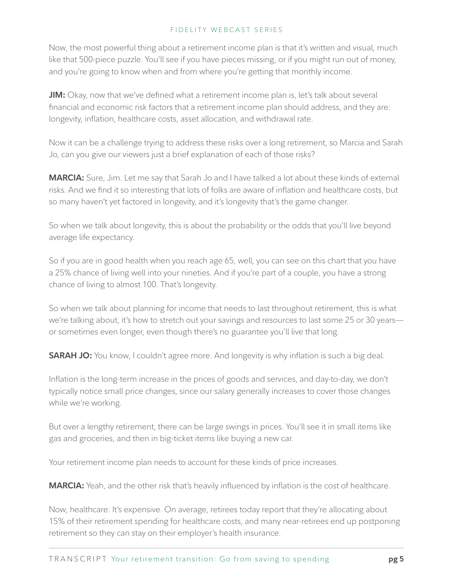Now, the most powerful thing about a retirement income plan is that it's written and visual, much like that 500-piece puzzle. You'll see if you have pieces missing, or if you might run out of money, and you're going to know when and from where you're getting that monthly income.

**JIM:** Okay, now that we've defined what a retirement income plan is, let's talk about several financial and economic risk factors that a retirement income plan should address, and they are: longevity, inflation, healthcare costs, asset allocation, and withdrawal rate.

Now it can be a challenge trying to address these risks over a long retirement, so Marcia and Sarah Jo, can you give our viewers just a brief explanation of each of those risks?

**MARCIA:** Sure, Jim. Let me say that Sarah Jo and I have talked a lot about these kinds of external risks. And we find it so interesting that lots of folks are aware of inflation and healthcare costs, but so many haven't yet factored in longevity, and it's longevity that's the game changer.

So when we talk about longevity, this is about the probability or the odds that you'll live beyond average life expectancy.

So if you are in good health when you reach age 65, well, you can see on this chart that you have a 25% chance of living well into your nineties. And if you're part of a couple, you have a strong chance of living to almost 100. That's longevity.

So when we talk about planning for income that needs to last throughout retirement, this is what we're talking about, it's how to stretch out your savings and resources to last some 25 or 30 years or sometimes even longer, even though there's no guarantee you'll live that long.

**SARAH JO:** You know, I couldn't agree more. And longevity is why inflation is such a big deal.

Inflation is the long-term increase in the prices of goods and services, and day-to-day, we don't typically notice small price changes, since our salary generally increases to cover those changes while we're working.

But over a lengthy retirement, there can be large swings in prices. You'll see it in small items like gas and groceries, and then in big-ticket items like buying a new car.

Your retirement income plan needs to account for these kinds of price increases.

**MARCIA:** Yeah, and the other risk that's heavily influenced by inflation is the cost of healthcare.

Now, healthcare: It's expensive. On average, retirees today report that they're allocating about 15% of their retirement spending for healthcare costs, and many near-retirees end up postponing retirement so they can stay on their employer's health insurance.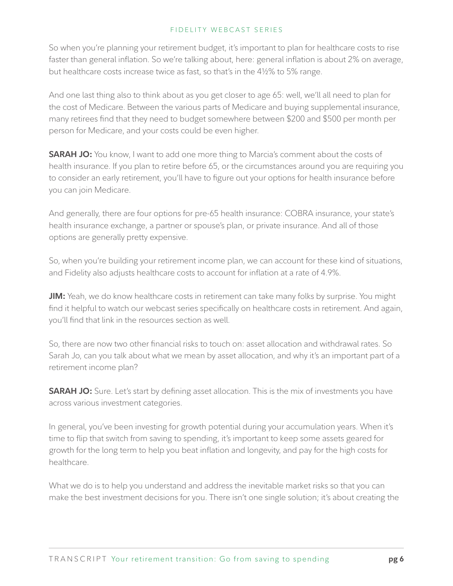So when you're planning your retirement budget, it's important to plan for healthcare costs to rise faster than general inflation. So we're talking about, here: general inflation is about 2% on average, but healthcare costs increase twice as fast, so that's in the 4½% to 5% range.

And one last thing also to think about as you get closer to age 65: well, we'll all need to plan for the cost of Medicare. Between the various parts of Medicare and buying supplemental insurance, many retirees find that they need to budget somewhere between \$200 and \$500 per month per person for Medicare, and your costs could be even higher.

**SARAH JO:** You know, I want to add one more thing to Marcia's comment about the costs of health insurance. If you plan to retire before 65, or the circumstances around you are requiring you to consider an early retirement, you'll have to figure out your options for health insurance before you can join Medicare.

And generally, there are four options for pre-65 health insurance: COBRA insurance, your state's health insurance exchange, a partner or spouse's plan, or private insurance. And all of those options are generally pretty expensive.

So, when you're building your retirement income plan, we can account for these kind of situations, and Fidelity also adjusts healthcare costs to account for inflation at a rate of 4.9%.

**JIM:** Yeah, we do know healthcare costs in retirement can take many folks by surprise. You might find it helpful to watch our webcast series specifically on healthcare costs in retirement. And again, you'll find that link in the resources section as well.

So, there are now two other financial risks to touch on: asset allocation and withdrawal rates. So Sarah Jo, can you talk about what we mean by asset allocation, and why it's an important part of a retirement income plan?

**SARAH JO:** Sure. Let's start by defining asset allocation. This is the mix of investments you have across various investment categories.

In general, you've been investing for growth potential during your accumulation years. When it's time to flip that switch from saving to spending, it's important to keep some assets geared for growth for the long term to help you beat inflation and longevity, and pay for the high costs for healthcare.

What we do is to help you understand and address the inevitable market risks so that you can make the best investment decisions for you. There isn't one single solution; it's about creating the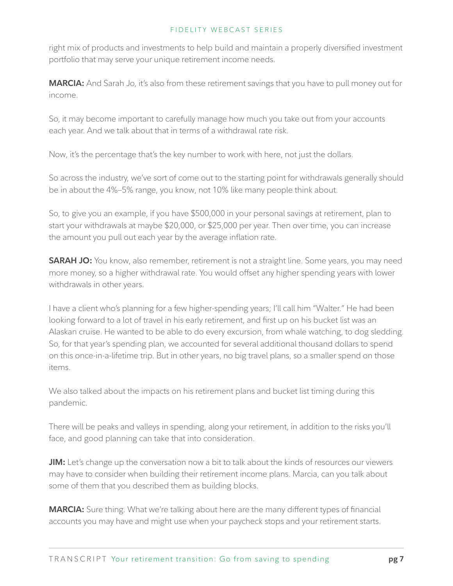right mix of products and investments to help build and maintain a properly diversified investment portfolio that may serve your unique retirement income needs.

**MARCIA:** And Sarah Jo, it's also from these retirement savings that you have to pull money out for income.

So, it may become important to carefully manage how much you take out from your accounts each year. And we talk about that in terms of a withdrawal rate risk.

Now, it's the percentage that's the key number to work with here, not just the dollars.

So across the industry, we've sort of come out to the starting point for withdrawals generally should be in about the 4%–5% range, you know, not 10% like many people think about.

So, to give you an example, if you have \$500,000 in your personal savings at retirement, plan to start your withdrawals at maybe \$20,000, or \$25,000 per year. Then over time, you can increase the amount you pull out each year by the average inflation rate.

**SARAH JO:** You know, also remember, retirement is not a straight line. Some years, you may need more money, so a higher withdrawal rate. You would offset any higher spending years with lower withdrawals in other years.

I have a client who's planning for a few higher-spending years; I'll call him "Walter." He had been looking forward to a lot of travel in his early retirement, and first up on his bucket list was an Alaskan cruise. He wanted to be able to do every excursion, from whale watching, to dog sledding. So, for that year's spending plan, we accounted for several additional thousand dollars to spend on this once-in-a-lifetime trip. But in other years, no big travel plans, so a smaller spend on those items.

We also talked about the impacts on his retirement plans and bucket list timing during this pandemic.

There will be peaks and valleys in spending, along your retirement, in addition to the risks you'll face, and good planning can take that into consideration.

**JIM:** Let's change up the conversation now a bit to talk about the kinds of resources our viewers may have to consider when building their retirement income plans. Marcia, can you talk about some of them that you described them as building blocks.

**MARCIA:** Sure thing. What we're talking about here are the many different types of financial accounts you may have and might use when your paycheck stops and your retirement starts.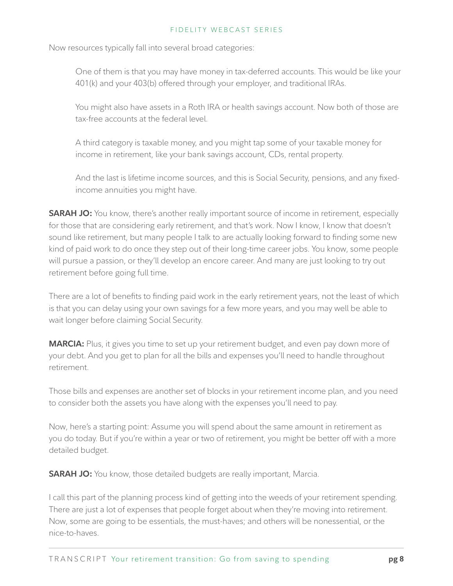Now resources typically fall into several broad categories:

One of them is that you may have money in tax-deferred accounts. This would be like your 401(k) and your 403(b) offered through your employer, and traditional IRAs.

You might also have assets in a Roth IRA or health savings account. Now both of those are tax-free accounts at the federal level.

A third category is taxable money, and you might tap some of your taxable money for income in retirement, like your bank savings account, CDs, rental property.

And the last is lifetime income sources, and this is Social Security, pensions, and any fixedincome annuities you might have.

**SARAH JO:** You know, there's another really important source of income in retirement, especially for those that are considering early retirement, and that's work. Now I know, I know that doesn't sound like retirement, but many people I talk to are actually looking forward to finding some new kind of paid work to do once they step out of their long-time career jobs. You know, some people will pursue a passion, or they'll develop an encore career. And many are just looking to try out retirement before going full time.

There are a lot of benefits to finding paid work in the early retirement years, not the least of which is that you can delay using your own savings for a few more years, and you may well be able to wait longer before claiming Social Security.

**MARCIA:** Plus, it gives you time to set up your retirement budget, and even pay down more of your debt. And you get to plan for all the bills and expenses you'll need to handle throughout retirement.

Those bills and expenses are another set of blocks in your retirement income plan, and you need to consider both the assets you have along with the expenses you'll need to pay.

Now, here's a starting point: Assume you will spend about the same amount in retirement as you do today. But if you're within a year or two of retirement, you might be better off with a more detailed budget.

**SARAH JO:** You know, those detailed budgets are really important, Marcia.

I call this part of the planning process kind of getting into the weeds of your retirement spending. There are just a lot of expenses that people forget about when they're moving into retirement. Now, some are going to be essentials, the must-haves; and others will be nonessential, or the nice-to-haves.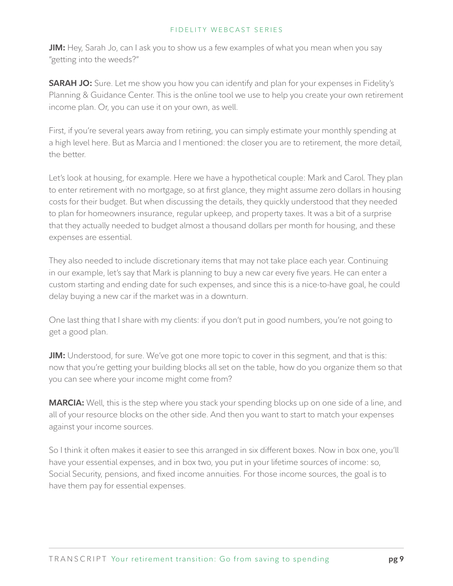**JIM:** Hey, Sarah Jo, can I ask you to show us a few examples of what you mean when you say "getting into the weeds?"

**SARAH JO:** Sure. Let me show you how you can identify and plan for your expenses in Fidelity's Planning & Guidance Center. This is the online tool we use to help you create your own retirement income plan. Or, you can use it on your own, as well.

First, if you're several years away from retiring, you can simply estimate your monthly spending at a high level here. But as Marcia and I mentioned: the closer you are to retirement, the more detail, the better.

Let's look at housing, for example. Here we have a hypothetical couple: Mark and Carol. They plan to enter retirement with no mortgage, so at first glance, they might assume zero dollars in housing costs for their budget. But when discussing the details, they quickly understood that they needed to plan for homeowners insurance, regular upkeep, and property taxes. It was a bit of a surprise that they actually needed to budget almost a thousand dollars per month for housing, and these expenses are essential.

They also needed to include discretionary items that may not take place each year. Continuing in our example, let's say that Mark is planning to buy a new car every five years. He can enter a custom starting and ending date for such expenses, and since this is a nice-to-have goal, he could delay buying a new car if the market was in a downturn.

One last thing that I share with my clients: if you don't put in good numbers, you're not going to get a good plan.

**JIM:** Understood, for sure. We've got one more topic to cover in this segment, and that is this: now that you're getting your building blocks all set on the table, how do you organize them so that you can see where your income might come from?

**MARCIA:** Well, this is the step where you stack your spending blocks up on one side of a line, and all of your resource blocks on the other side. And then you want to start to match your expenses against your income sources.

So I think it often makes it easier to see this arranged in six different boxes. Now in box one, you'll have your essential expenses, and in box two, you put in your lifetime sources of income: so, Social Security, pensions, and fixed income annuities. For those income sources, the goal is to have them pay for essential expenses.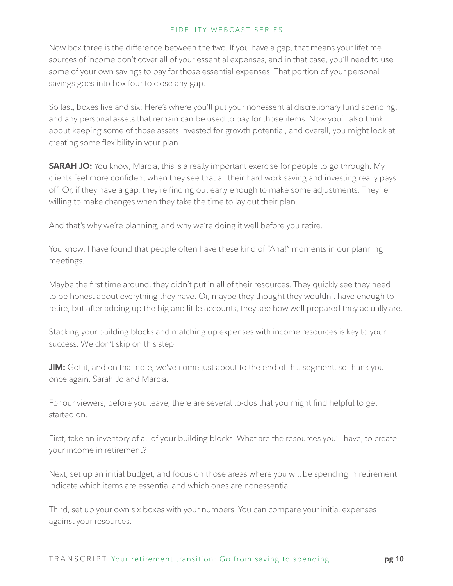Now box three is the difference between the two. If you have a gap, that means your lifetime sources of income don't cover all of your essential expenses, and in that case, you'll need to use some of your own savings to pay for those essential expenses. That portion of your personal savings goes into box four to close any gap.

So last, boxes five and six: Here's where you'll put your nonessential discretionary fund spending, and any personal assets that remain can be used to pay for those items. Now you'll also think about keeping some of those assets invested for growth potential, and overall, you might look at creating some flexibility in your plan.

**SARAH JO:** You know, Marcia, this is a really important exercise for people to go through. My clients feel more confident when they see that all their hard work saving and investing really pays off. Or, if they have a gap, they're finding out early enough to make some adjustments. They're willing to make changes when they take the time to lay out their plan.

And that's why we're planning, and why we're doing it well before you retire.

You know, I have found that people often have these kind of "Aha!" moments in our planning meetings.

Maybe the first time around, they didn't put in all of their resources. They quickly see they need to be honest about everything they have. Or, maybe they thought they wouldn't have enough to retire, but after adding up the big and little accounts, they see how well prepared they actually are.

Stacking your building blocks and matching up expenses with income resources is key to your success. We don't skip on this step.

**JIM:** Got it, and on that note, we've come just about to the end of this segment, so thank you once again, Sarah Jo and Marcia.

For our viewers, before you leave, there are several to-dos that you might find helpful to get started on.

First, take an inventory of all of your building blocks. What are the resources you'll have, to create your income in retirement?

Next, set up an initial budget, and focus on those areas where you will be spending in retirement. Indicate which items are essential and which ones are nonessential.

Third, set up your own six boxes with your numbers. You can compare your initial expenses against your resources.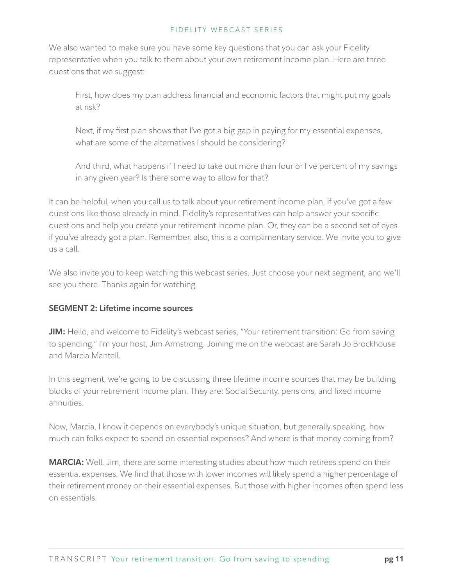We also wanted to make sure you have some key questions that you can ask your Fidelity representative when you talk to them about your own retirement income plan. Here are three questions that we suggest:

First, how does my plan address financial and economic factors that might put my goals at risk?

Next, if my first plan shows that I've got a big gap in paying for my essential expenses, what are some of the alternatives I should be considering?

And third, what happens if I need to take out more than four or five percent of my savings in any given year? Is there some way to allow for that?

It can be helpful, when you call us to talk about your retirement income plan, if you've got a few questions like those already in mind. Fidelity's representatives can help answer your specific questions and help you create your retirement income plan. Or, they can be a second set of eyes if you've already got a plan. Remember, also, this is a complimentary service. We invite you to give us a call.

We also invite you to keep watching this webcast series. Just choose your next segment, and we'll see you there. Thanks again for watching.

# **SEGMENT 2: Lifetime income sources**

**JIM:** Hello, and welcome to Fidelity's webcast series, "Your retirement transition: Go from saving to spending." I'm your host, Jim Armstrong. Joining me on the webcast are Sarah Jo Brockhouse and Marcia Mantell.

In this segment, we're going to be discussing three lifetime income sources that may be building blocks of your retirement income plan. They are: Social Security, pensions, and fixed income annuities.

Now, Marcia, I know it depends on everybody's unique situation, but generally speaking, how much can folks expect to spend on essential expenses? And where is that money coming from?

**MARCIA:** Well, Jim, there are some interesting studies about how much retirees spend on their essential expenses. We find that those with lower incomes will likely spend a higher percentage of their retirement money on their essential expenses. But those with higher incomes often spend less on essentials.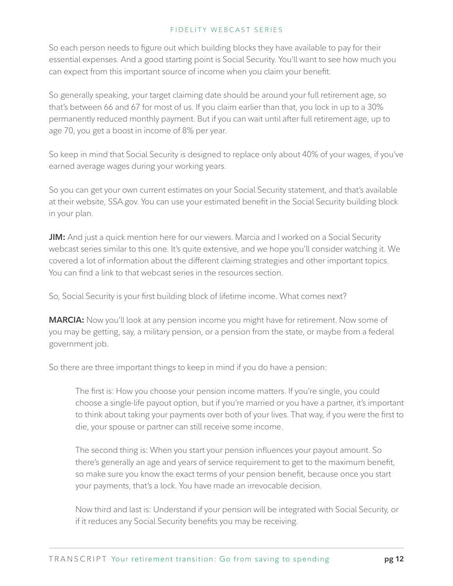So each person needs to figure out which building blocks they have available to pay for their essential expenses. And a good starting point is Social Security. You'll want to see how much you can expect from this important source of income when you claim your benefit.

So generally speaking, your target claiming date should be around your full retirement age, so that's between 66 and 67 for most of us. If you claim earlier than that, you lock in up to a 30% permanently reduced monthly payment. But if you can wait until after full retirement age, up to age 70, you get a boost in income of 8% per year.

So keep in mind that Social Security is designed to replace only about 40% of your wages, if you've earned average wages during your working years.

So you can get your own current estimates on your Social Security statement, and that's available at their website, SSA.gov. You can use your estimated benefit in the Social Security building block in your plan.

**JIM:** And just a quick mention here for our viewers. Marcia and I worked on a Social Security webcast series similar to this one. It's quite extensive, and we hope you'll consider watching it. We covered a lot of information about the different claiming strategies and other important topics. You can find a link to that webcast series in the resources section.

So, Social Security is your first building block of lifetime income. What comes next?

**MARCIA:** Now you'll look at any pension income you might have for retirement. Now some of you may be getting, say, a military pension, or a pension from the state, or maybe from a federal government job.

So there are three important things to keep in mind if you do have a pension:

The first is: How you choose your pension income matters. If you're single, you could choose a single-life payout option, but if you're married or you have a partner, it's important to think about taking your payments over both of your lives. That way, if you were the first to die, your spouse or partner can still receive some income.

The second thing is: When you start your pension influences your payout amount. So there's generally an age and years of service requirement to get to the maximum benefit, so make sure you know the exact terms of your pension benefit, because once you start your payments, that's a lock. You have made an irrevocable decision.

Now third and last is: Understand if your pension will be integrated with Social Security, or if it reduces any Social Security benefits you may be receiving.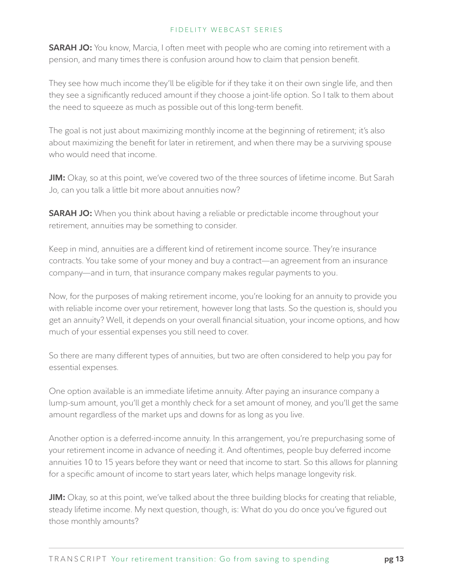**SARAH JO:** You know, Marcia, I often meet with people who are coming into retirement with a pension, and many times there is confusion around how to claim that pension benefit.

They see how much income they'll be eligible for if they take it on their own single life, and then they see a significantly reduced amount if they choose a joint-life option. So I talk to them about the need to squeeze as much as possible out of this long-term benefit.

The goal is not just about maximizing monthly income at the beginning of retirement; it's also about maximizing the benefit for later in retirement, and when there may be a surviving spouse who would need that income.

**JIM:** Okay, so at this point, we've covered two of the three sources of lifetime income. But Sarah Jo, can you talk a little bit more about annuities now?

**SARAH JO:** When you think about having a reliable or predictable income throughout your retirement, annuities may be something to consider.

Keep in mind, annuities are a different kind of retirement income source. They're insurance contracts. You take some of your money and buy a contract—an agreement from an insurance company—and in turn, that insurance company makes regular payments to you.

Now, for the purposes of making retirement income, you're looking for an annuity to provide you with reliable income over your retirement, however long that lasts. So the question is, should you get an annuity? Well, it depends on your overall financial situation, your income options, and how much of your essential expenses you still need to cover.

So there are many different types of annuities, but two are often considered to help you pay for essential expenses.

One option available is an immediate lifetime annuity. After paying an insurance company a lump-sum amount, you'll get a monthly check for a set amount of money, and you'll get the same amount regardless of the market ups and downs for as long as you live.

Another option is a deferred-income annuity. In this arrangement, you're prepurchasing some of your retirement income in advance of needing it. And oftentimes, people buy deferred income annuities 10 to 15 years before they want or need that income to start. So this allows for planning for a specific amount of income to start years later, which helps manage longevity risk.

**JIM:** Okay, so at this point, we've talked about the three building blocks for creating that reliable, steady lifetime income. My next question, though, is: What do you do once you've figured out those monthly amounts?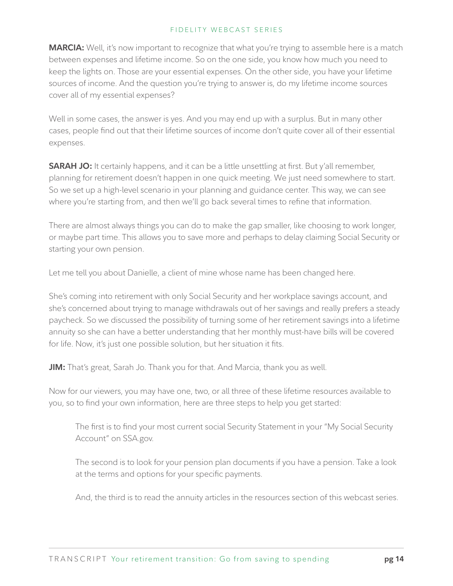**MARCIA:** Well, it's now important to recognize that what you're trying to assemble here is a match between expenses and lifetime income. So on the one side, you know how much you need to keep the lights on. Those are your essential expenses. On the other side, you have your lifetime sources of income. And the question you're trying to answer is, do my lifetime income sources cover all of my essential expenses?

Well in some cases, the answer is yes. And you may end up with a surplus. But in many other cases, people find out that their lifetime sources of income don't quite cover all of their essential expenses.

**SARAH JO:** It certainly happens, and it can be a little unsettling at first. But y'all remember, planning for retirement doesn't happen in one quick meeting. We just need somewhere to start. So we set up a high-level scenario in your planning and guidance center. This way, we can see where you're starting from, and then we'll go back several times to refine that information.

There are almost always things you can do to make the gap smaller, like choosing to work longer, or maybe part time. This allows you to save more and perhaps to delay claiming Social Security or starting your own pension.

Let me tell you about Danielle, a client of mine whose name has been changed here.

She's coming into retirement with only Social Security and her workplace savings account, and she's concerned about trying to manage withdrawals out of her savings and really prefers a steady paycheck. So we discussed the possibility of turning some of her retirement savings into a lifetime annuity so she can have a better understanding that her monthly must-have bills will be covered for life. Now, it's just one possible solution, but her situation it fits.

**JIM:** That's great, Sarah Jo. Thank you for that. And Marcia, thank you as well.

Now for our viewers, you may have one, two, or all three of these lifetime resources available to you, so to find your own information, here are three steps to help you get started:

The first is to find your most current social Security Statement in your "My Social Security Account" on SSA.gov.

The second is to look for your pension plan documents if you have a pension. Take a look at the terms and options for your specific payments.

And, the third is to read the annuity articles in the resources section of this webcast series.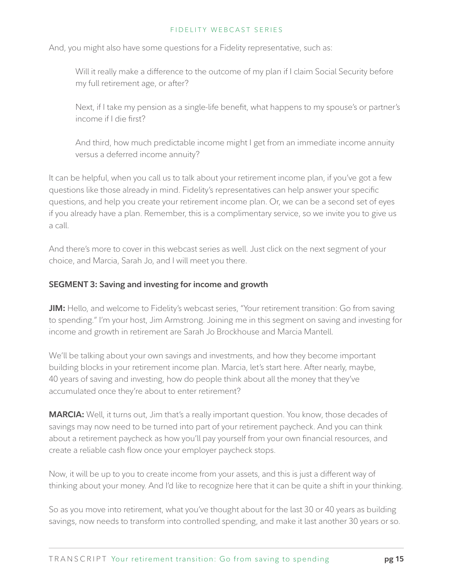And, you might also have some questions for a Fidelity representative, such as:

Will it really make a difference to the outcome of my plan if I claim Social Security before my full retirement age, or after?

Next, if I take my pension as a single-life benefit, what happens to my spouse's or partner's income if I die first?

And third, how much predictable income might I get from an immediate income annuity versus a deferred income annuity?

It can be helpful, when you call us to talk about your retirement income plan, if you've got a few questions like those already in mind. Fidelity's representatives can help answer your specific questions, and help you create your retirement income plan. Or, we can be a second set of eyes if you already have a plan. Remember, this is a complimentary service, so we invite you to give us a call.

And there's more to cover in this webcast series as well. Just click on the next segment of your choice, and Marcia, Sarah Jo, and I will meet you there.

# **SEGMENT 3: Saving and investing for income and growth**

**JIM:** Hello, and welcome to Fidelity's webcast series, "Your retirement transition: Go from saving to spending." I'm your host, Jim Armstrong. Joining me in this segment on saving and investing for income and growth in retirement are Sarah Jo Brockhouse and Marcia Mantell.

We'll be talking about your own savings and investments, and how they become important building blocks in your retirement income plan. Marcia, let's start here. After nearly, maybe, 40 years of saving and investing, how do people think about all the money that they've accumulated once they're about to enter retirement?

**MARCIA:** Well, it turns out, Jim that's a really important question. You know, those decades of savings may now need to be turned into part of your retirement paycheck. And you can think about a retirement paycheck as how you'll pay yourself from your own financial resources, and create a reliable cash flow once your employer paycheck stops.

Now, it will be up to you to create income from your assets, and this is just a different way of thinking about your money. And I'd like to recognize here that it can be quite a shift in your thinking.

So as you move into retirement, what you've thought about for the last 30 or 40 years as building savings, now needs to transform into controlled spending, and make it last another 30 years or so.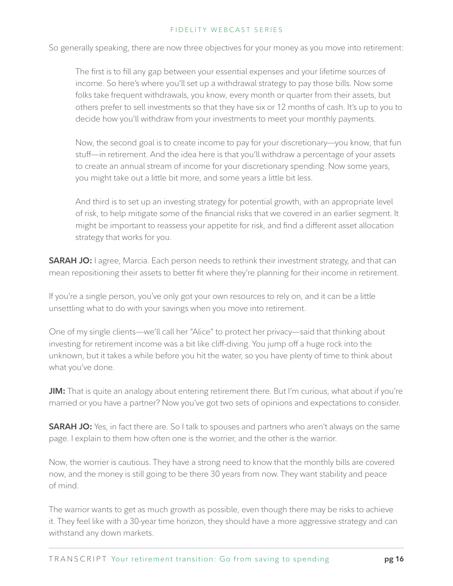So generally speaking, there are now three objectives for your money as you move into retirement:

The first is to fill any gap between your essential expenses and your lifetime sources of income. So here's where you'll set up a withdrawal strategy to pay those bills. Now some folks take frequent withdrawals, you know, every month or quarter from their assets, but others prefer to sell investments so that they have six or 12 months of cash. It's up to you to decide how you'll withdraw from your investments to meet your monthly payments.

Now, the second goal is to create income to pay for your discretionary—you know, that fun stuff—in retirement. And the idea here is that you'll withdraw a percentage of your assets to create an annual stream of income for your discretionary spending. Now some years, you might take out a little bit more, and some years a little bit less.

And third is to set up an investing strategy for potential growth, with an appropriate level of risk, to help mitigate some of the financial risks that we covered in an earlier segment. It might be important to reassess your appetite for risk, and find a different asset allocation strategy that works for you.

**SARAH JO:** I agree, Marcia. Each person needs to rethink their investment strategy, and that can mean repositioning their assets to better fit where they're planning for their income in retirement.

If you're a single person, you've only got your own resources to rely on, and it can be a little unsettling what to do with your savings when you move into retirement.

One of my single clients—we'll call her "Alice" to protect her privacy—said that thinking about investing for retirement income was a bit like cliff-diving. You jump off a huge rock into the unknown, but it takes a while before you hit the water, so you have plenty of time to think about what you've done.

**JIM:** That is quite an analogy about entering retirement there. But I'm curious, what about if you're married or you have a partner? Now you've got two sets of opinions and expectations to consider.

**SARAH JO:** Yes, in fact there are. So I talk to spouses and partners who aren't always on the same page. I explain to them how often one is the worrier, and the other is the warrior.

Now, the worrier is cautious. They have a strong need to know that the monthly bills are covered now, and the money is still going to be there 30 years from now. They want stability and peace of mind.

The warrior wants to get as much growth as possible, even though there may be risks to achieve it. They feel like with a 30-year time horizon, they should have a more aggressive strategy and can withstand any down markets.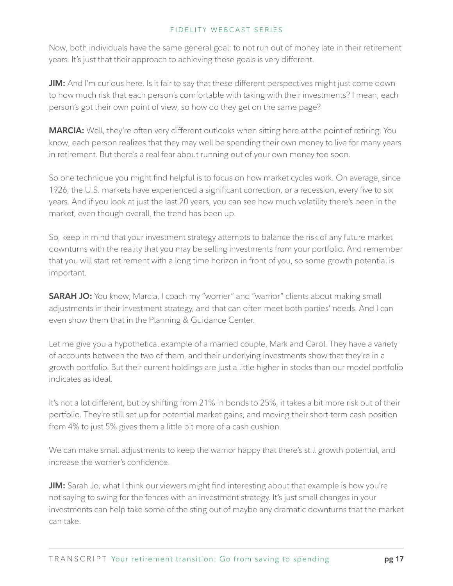Now, both individuals have the same general goal: to not run out of money late in their retirement years. It's just that their approach to achieving these goals is very different.

**JIM:** And I'm curious here. Is it fair to say that these different perspectives might just come down to how much risk that each person's comfortable with taking with their investments? I mean, each person's got their own point of view, so how do they get on the same page?

**MARCIA:** Well, they're often very different outlooks when sitting here at the point of retiring. You know, each person realizes that they may well be spending their own money to live for many years in retirement. But there's a real fear about running out of your own money too soon.

So one technique you might find helpful is to focus on how market cycles work. On average, since 1926, the U.S. markets have experienced a significant correction, or a recession, every five to six years. And if you look at just the last 20 years, you can see how much volatility there's been in the market, even though overall, the trend has been up.

So, keep in mind that your investment strategy attempts to balance the risk of any future market downturns with the reality that you may be selling investments from your portfolio. And remember that you will start retirement with a long time horizon in front of you, so some growth potential is important.

**SARAH JO:** You know, Marcia, I coach my "worrier" and "warrior" clients about making small adjustments in their investment strategy, and that can often meet both parties' needs. And I can even show them that in the Planning & Guidance Center.

Let me give you a hypothetical example of a married couple, Mark and Carol. They have a variety of accounts between the two of them, and their underlying investments show that they're in a growth portfolio. But their current holdings are just a little higher in stocks than our model portfolio indicates as ideal.

It's not a lot different, but by shifting from 21% in bonds to 25%, it takes a bit more risk out of their portfolio. They're still set up for potential market gains, and moving their short-term cash position from 4% to just 5% gives them a little bit more of a cash cushion.

We can make small adjustments to keep the warrior happy that there's still growth potential, and increase the worrier's confidence.

**JIM:** Sarah Jo, what I think our viewers might find interesting about that example is how you're not saying to swing for the fences with an investment strategy. It's just small changes in your investments can help take some of the sting out of maybe any dramatic downturns that the market can take.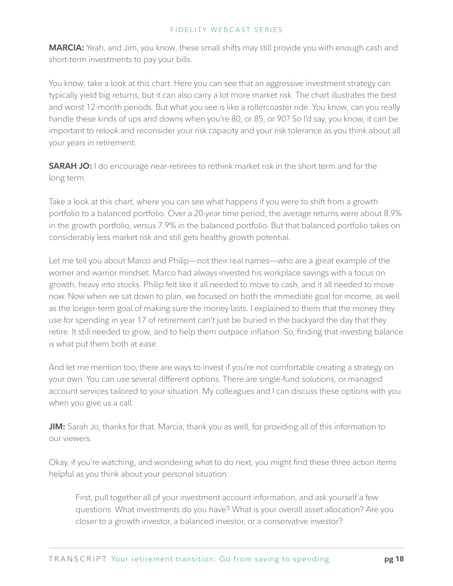**MARCIA:** Yeah, and Jim, you know, these small shifts may still provide you with enough cash and short-term investments to pay your bills.

You know, take a look at this chart. Here you can see that an aggressive investment strategy can typically yield big returns, but it can also carry a lot more market risk. The chart illustrates the best and worst 12-month periods. But what you see is like a rollercoaster ride. You know, can you really handle these kinds of ups and downs when you're 80, or 85, or 90? So I'd say, you know, it can be important to relook and reconsider your risk capacity and your risk tolerance as you think about all your years in retirement.

**SARAH JO:** I do encourage near-retirees to rethink market risk in the short term and for the long term.

Take a look at this chart, where you can see what happens if you were to shift from a growth portfolio to a balanced portfolio. Over a 20-year time period, the average returns were about 8.9% in the growth portfolio, versus 7.9% in the balanced portfolio. But that balanced portfolio takes on considerably less market risk and still gets healthy growth potential.

Let me tell you about Marco and Philip—not their real names—who are a great example of the worrier and warrior mindset. Marco had always invested his workplace savings with a focus on growth, heavy into stocks. Philip felt like it all needed to move to cash, and it all needed to move now. Now when we sat down to plan, we focused on both the immediate goal for income, as well as the longer-term goal of making sure the money lasts. I explained to them that the money they use for spending in year 17 of retirement can't just be buried in the backyard the day that they retire. It still needed to grow, and to help them outpace inflation. So, finding that investing balance is what put them both at ease.

And let me mention too, there are ways to invest if you're not comfortable creating a strategy on your own. You can use several different options. There are single-fund solutions, or managed account services tailored to your situation. My colleagues and I can discuss these options with you when you give us a call.

**JIM:** Sarah Jo, thanks for that. Marcia, thank you as well, for providing all of this information to our viewers.

Okay, if you're watching, and wondering what to do next, you might find these three action items helpful as you think about your personal situation:

First, pull together all of your investment account information, and ask yourself a few questions. What investments do you have? What is your overall asset allocation? Are you closer to a growth investor, a balanced investor, or a conservative investor?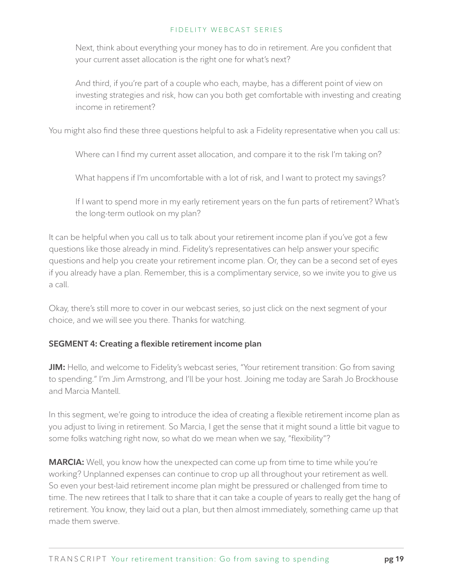Next, think about everything your money has to do in retirement. Are you confident that your current asset allocation is the right one for what's next?

And third, if you're part of a couple who each, maybe, has a different point of view on investing strategies and risk, how can you both get comfortable with investing and creating income in retirement?

You might also find these three questions helpful to ask a Fidelity representative when you call us:

Where can I find my current asset allocation, and compare it to the risk I'm taking on?

What happens if I'm uncomfortable with a lot of risk, and I want to protect my savings?

If I want to spend more in my early retirement years on the fun parts of retirement? What's the long-term outlook on my plan?

It can be helpful when you call us to talk about your retirement income plan if you've got a few questions like those already in mind. Fidelity's representatives can help answer your specific questions and help you create your retirement income plan. Or, they can be a second set of eyes if you already have a plan. Remember, this is a complimentary service, so we invite you to give us a call.

Okay, there's still more to cover in our webcast series, so just click on the next segment of your choice, and we will see you there. Thanks for watching.

# **SEGMENT 4: Creating a flexible retirement income plan**

**JIM:** Hello, and welcome to Fidelity's webcast series, "Your retirement transition: Go from saving to spending." I'm Jim Armstrong, and I'll be your host. Joining me today are Sarah Jo Brockhouse and Marcia Mantell.

In this segment, we're going to introduce the idea of creating a flexible retirement income plan as you adjust to living in retirement. So Marcia, I get the sense that it might sound a little bit vague to some folks watching right now, so what do we mean when we say, "flexibility"?

**MARCIA:** Well, you know how the unexpected can come up from time to time while you're working? Unplanned expenses can continue to crop up all throughout your retirement as well. So even your best-laid retirement income plan might be pressured or challenged from time to time. The new retirees that I talk to share that it can take a couple of years to really get the hang of retirement. You know, they laid out a plan, but then almost immediately, something came up that made them swerve.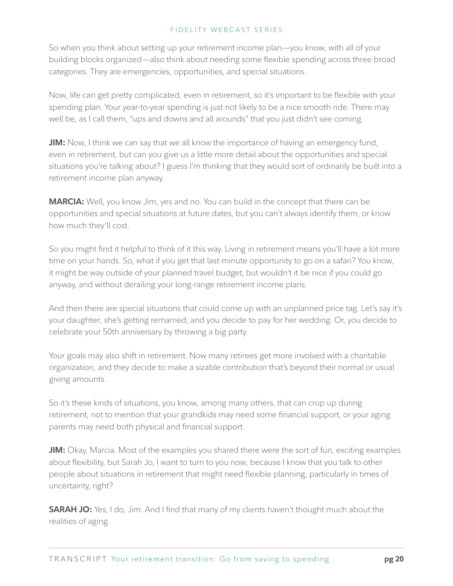So when you think about setting up your retirement income plan—you know, with all of your building blocks organized—also think about needing some flexible spending across three broad categories. They are emergencies, opportunities, and special situations.

Now, life can get pretty complicated, even in retirement, so it's important to be flexible with your spending plan. Your year-to-year spending is just not likely to be a nice smooth ride. There may well be, as I call them, "ups and downs and all arounds" that you just didn't see coming.

**JIM:** Now, I think we can say that we all know the importance of having an emergency fund, even in retirement, but can you give us a little more detail about the opportunities and special situations you're talking about? I guess I'm thinking that they would sort of ordinarily be built into a retirement income plan anyway.

**MARCIA:** Well, you know Jim, yes and no. You can build in the concept that there can be opportunities and special situations at future dates, but you can't always identify them, or know how much they'll cost.

So you might find it helpful to think of it this way. Living in retirement means you'll have a lot more time on your hands. So, what if you get that last-minute opportunity to go on a safari? You know, it might be way outside of your planned travel budget, but wouldn't it be nice if you could go anyway, and without derailing your long-range retirement income plans.

And then there are special situations that could come up with an unplanned price tag. Let's say it's your daughter; she's getting remarried, and you decide to pay for her wedding. Or, you decide to celebrate your 50th anniversary by throwing a big party.

Your goals may also shift in retirement. Now many retirees get more involved with a charitable organization, and they decide to make a sizable contribution that's beyond their normal or usual giving amounts.

So it's these kinds of situations, you know, among many others, that can crop up during retirement, not to mention that your grandkids may need some financial support, or your aging parents may need both physical and financial support.

**JIM:** Okay, Marcia. Most of the examples you shared there were the sort of fun, exciting examples about flexibility, but Sarah Jo, I want to turn to you now, because I know that you talk to other people about situations in retirement that might need flexible planning, particularly in times of uncertainty, right?

**SARAH JO:** Yes, I do, Jim. And I find that many of my clients haven't thought much about the realities of aging.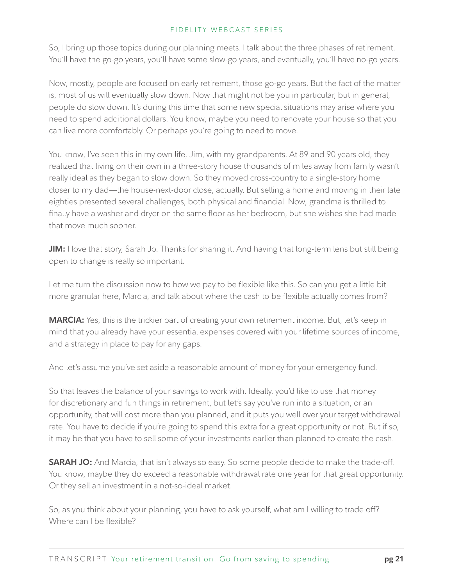So, I bring up those topics during our planning meets. I talk about the three phases of retirement. You'll have the go-go years, you'll have some slow-go years, and eventually, you'll have no-go years.

Now, mostly, people are focused on early retirement, those go-go years. But the fact of the matter is, most of us will eventually slow down. Now that might not be you in particular, but in general, people do slow down. It's during this time that some new special situations may arise where you need to spend additional dollars. You know, maybe you need to renovate your house so that you can live more comfortably. Or perhaps you're going to need to move.

You know, I've seen this in my own life, Jim, with my grandparents. At 89 and 90 years old, they realized that living on their own in a three-story house thousands of miles away from family wasn't really ideal as they began to slow down. So they moved cross-country to a single-story home closer to my dad—the house-next-door close, actually. But selling a home and moving in their late eighties presented several challenges, both physical and financial. Now, grandma is thrilled to finally have a washer and dryer on the same floor as her bedroom, but she wishes she had made that move much sooner.

**JIM:** I love that story, Sarah Jo. Thanks for sharing it. And having that long-term lens but still being open to change is really so important.

Let me turn the discussion now to how we pay to be flexible like this. So can you get a little bit more granular here, Marcia, and talk about where the cash to be flexible actually comes from?

**MARCIA:** Yes, this is the trickier part of creating your own retirement income. But, let's keep in mind that you already have your essential expenses covered with your lifetime sources of income, and a strategy in place to pay for any gaps.

And let's assume you've set aside a reasonable amount of money for your emergency fund.

So that leaves the balance of your savings to work with. Ideally, you'd like to use that money for discretionary and fun things in retirement, but let's say you've run into a situation, or an opportunity, that will cost more than you planned, and it puts you well over your target withdrawal rate. You have to decide if you're going to spend this extra for a great opportunity or not. But if so, it may be that you have to sell some of your investments earlier than planned to create the cash.

**SARAH JO:** And Marcia, that isn't always so easy. So some people decide to make the trade-off. You know, maybe they do exceed a reasonable withdrawal rate one year for that great opportunity. Or they sell an investment in a not-so-ideal market.

So, as you think about your planning, you have to ask yourself, what am I willing to trade off? Where can I be flexible?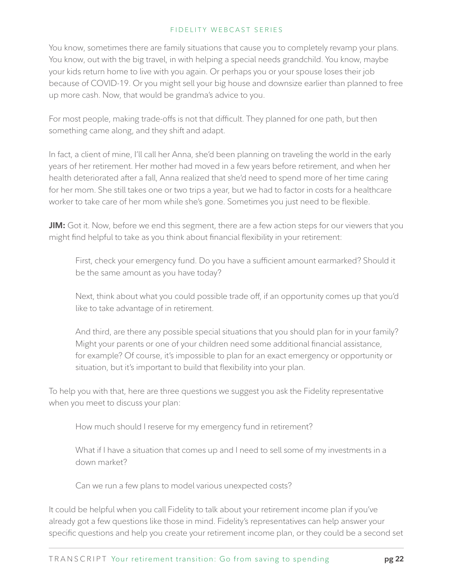You know, sometimes there are family situations that cause you to completely revamp your plans. You know, out with the big travel, in with helping a special needs grandchild. You know, maybe your kids return home to live with you again. Or perhaps you or your spouse loses their job because of COVID-19. Or you might sell your big house and downsize earlier than planned to free up more cash. Now, that would be grandma's advice to you.

For most people, making trade-offs is not that difficult. They planned for one path, but then something came along, and they shift and adapt.

In fact, a client of mine, I'll call her Anna, she'd been planning on traveling the world in the early years of her retirement. Her mother had moved in a few years before retirement, and when her health deteriorated after a fall, Anna realized that she'd need to spend more of her time caring for her mom. She still takes one or two trips a year, but we had to factor in costs for a healthcare worker to take care of her mom while she's gone. Sometimes you just need to be flexible.

**JIM:** Got it. Now, before we end this segment, there are a few action steps for our viewers that you might find helpful to take as you think about financial flexibility in your retirement:

First, check your emergency fund. Do you have a sufficient amount earmarked? Should it be the same amount as you have today?

Next, think about what you could possible trade off, if an opportunity comes up that you'd like to take advantage of in retirement.

And third, are there any possible special situations that you should plan for in your family? Might your parents or one of your children need some additional financial assistance, for example? Of course, it's impossible to plan for an exact emergency or opportunity or situation, but it's important to build that flexibility into your plan.

To help you with that, here are three questions we suggest you ask the Fidelity representative when you meet to discuss your plan:

How much should I reserve for my emergency fund in retirement?

What if I have a situation that comes up and I need to sell some of my investments in a down market?

Can we run a few plans to model various unexpected costs?

It could be helpful when you call Fidelity to talk about your retirement income plan if you've already got a few questions like those in mind. Fidelity's representatives can help answer your specific questions and help you create your retirement income plan, or they could be a second set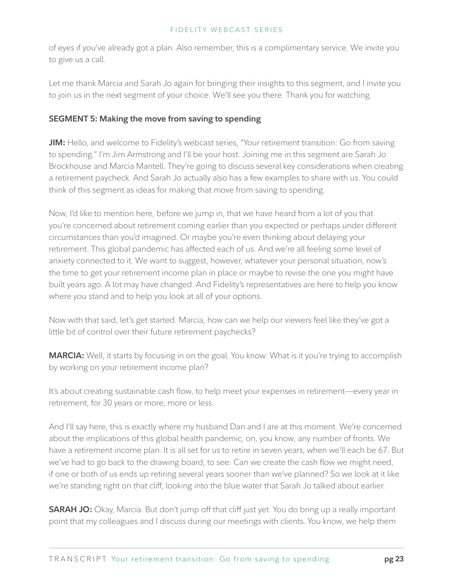of eyes if you've already got a plan. Also remember, this is a complimentary service. We invite you to give us a call.

Let me thank Marcia and Sarah Jo again for bringing their insights to this segment, and I invite you to join us in the next segment of your choice. We'll see you there. Thank you for watching.

# **SEGMENT 5: Making the move from saving to spending**

**JIM:** Hello, and welcome to Fidelity's webcast series, "Your retirement transition: Go from saving to spending." I'm Jim Armstrong and I'll be your host. Joining me in this segment are Sarah Jo Brockhouse and Marcia Mantell. They're going to discuss several key considerations when creating a retirement paycheck. And Sarah Jo actually also has a few examples to share with us. You could think of this segment as ideas for making that move from saving to spending.

Now, I'd like to mention here, before we jump in, that we have heard from a lot of you that you're concerned about retirement coming earlier than you expected or perhaps under different circumstances than you'd imagined. Or maybe you're even thinking about delaying your retirement. This global pandemic has affected each of us. And we're all feeling some level of anxiety connected to it. We want to suggest, however, whatever your personal situation, now's the time to get your retirement income plan in place or maybe to revise the one you might have built years ago. A lot may have changed. And Fidelity's representatives are here to help you know where you stand and to help you look at all of your options.

Now with that said, let's get started. Marcia, how can we help our viewers feel like they've got a little bit of control over their future retirement paychecks?

**MARCIA:** Well, it starts by focusing in on the goal. You know: What is it you're trying to accomplish by working on your retirement income plan?

It's about creating sustainable cash flow, to help meet your expenses in retirement—every year in retirement, for 30 years or more, more or less.

And I'll say here, this is exactly where my husband Dan and I are at this moment. We're concerned about the implications of this global health pandemic, on, you know, any number of fronts. We have a retirement income plan. It is all set for us to retire in seven years, when we'll each be 67. But we've had to go back to the drawing board, to see: Can we create the cash flow we might need, if one or both of us ends up retiring several years sooner than we've planned? So we look at it like we're standing right on that cliff, looking into the blue water that Sarah Jo talked about earlier.

**SARAH JO:** Okay, Marcia. But don't jump off that cliff just yet. You do bring up a really important point that my colleagues and I discuss during our meetings with clients. You know, we help them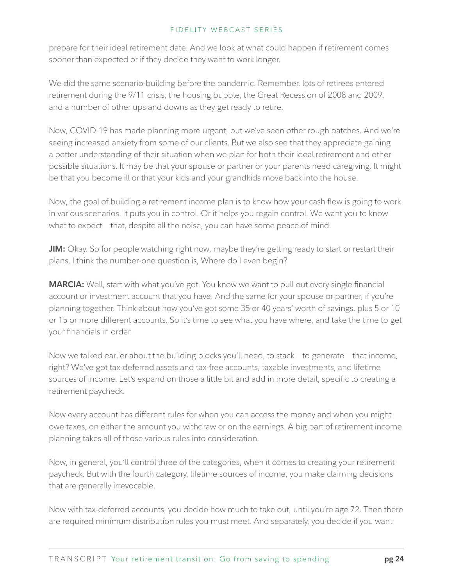prepare for their ideal retirement date. And we look at what could happen if retirement comes sooner than expected or if they decide they want to work longer.

We did the same scenario-building before the pandemic. Remember, lots of retirees entered retirement during the 9/11 crisis, the housing bubble, the Great Recession of 2008 and 2009, and a number of other ups and downs as they get ready to retire.

Now, COVID-19 has made planning more urgent, but we've seen other rough patches. And we're seeing increased anxiety from some of our clients. But we also see that they appreciate gaining a better understanding of their situation when we plan for both their ideal retirement and other possible situations. It may be that your spouse or partner or your parents need caregiving. It might be that you become ill or that your kids and your grandkids move back into the house.

Now, the goal of building a retirement income plan is to know how your cash flow is going to work in various scenarios. It puts you in control. Or it helps you regain control. We want you to know what to expect—that, despite all the noise, you can have some peace of mind.

**JIM:** Okay. So for people watching right now, maybe they're getting ready to start or restart their plans. I think the number-one question is, Where do I even begin?

**MARCIA:** Well, start with what you've got. You know we want to pull out every single financial account or investment account that you have. And the same for your spouse or partner, if you're planning together. Think about how you've got some 35 or 40 years' worth of savings, plus 5 or 10 or 15 or more different accounts. So it's time to see what you have where, and take the time to get your financials in order.

Now we talked earlier about the building blocks you'll need, to stack—to generate—that income, right? We've got tax-deferred assets and tax-free accounts, taxable investments, and lifetime sources of income. Let's expand on those a little bit and add in more detail, specific to creating a retirement paycheck.

Now every account has different rules for when you can access the money and when you might owe taxes, on either the amount you withdraw or on the earnings. A big part of retirement income planning takes all of those various rules into consideration.

Now, in general, you'll control three of the categories, when it comes to creating your retirement paycheck. But with the fourth category, lifetime sources of income, you make claiming decisions that are generally irrevocable.

Now with tax-deferred accounts, you decide how much to take out, until you're age 72. Then there are required minimum distribution rules you must meet. And separately, you decide if you want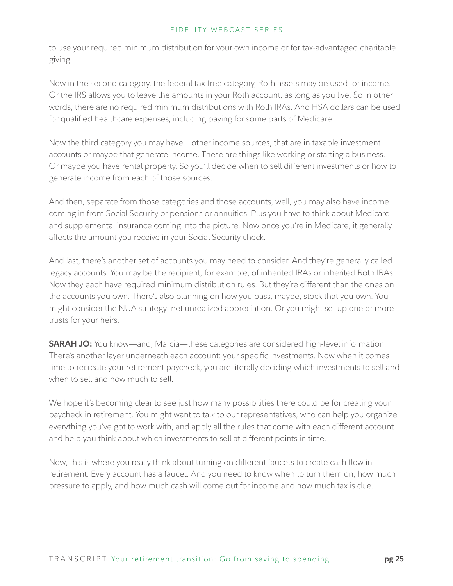to use your required minimum distribution for your own income or for tax-advantaged charitable giving.

Now in the second category, the federal tax-free category, Roth assets may be used for income. Or the IRS allows you to leave the amounts in your Roth account, as long as you live. So in other words, there are no required minimum distributions with Roth IRAs. And HSA dollars can be used for qualified healthcare expenses, including paying for some parts of Medicare.

Now the third category you may have—other income sources, that are in taxable investment accounts or maybe that generate income. These are things like working or starting a business. Or maybe you have rental property. So you'll decide when to sell different investments or how to generate income from each of those sources.

And then, separate from those categories and those accounts, well, you may also have income coming in from Social Security or pensions or annuities. Plus you have to think about Medicare and supplemental insurance coming into the picture. Now once you're in Medicare, it generally affects the amount you receive in your Social Security check.

And last, there's another set of accounts you may need to consider. And they're generally called legacy accounts. You may be the recipient, for example, of inherited IRAs or inherited Roth IRAs. Now they each have required minimum distribution rules. But they're different than the ones on the accounts you own. There's also planning on how you pass, maybe, stock that you own. You might consider the NUA strategy: net unrealized appreciation. Or you might set up one or more trusts for your heirs.

**SARAH JO:** You know—and, Marcia—these categories are considered high-level information. There's another layer underneath each account: your specific investments. Now when it comes time to recreate your retirement paycheck, you are literally deciding which investments to sell and when to sell and how much to sell.

We hope it's becoming clear to see just how many possibilities there could be for creating your paycheck in retirement. You might want to talk to our representatives, who can help you organize everything you've got to work with, and apply all the rules that come with each different account and help you think about which investments to sell at different points in time.

Now, this is where you really think about turning on different faucets to create cash flow in retirement. Every account has a faucet. And you need to know when to turn them on, how much pressure to apply, and how much cash will come out for income and how much tax is due.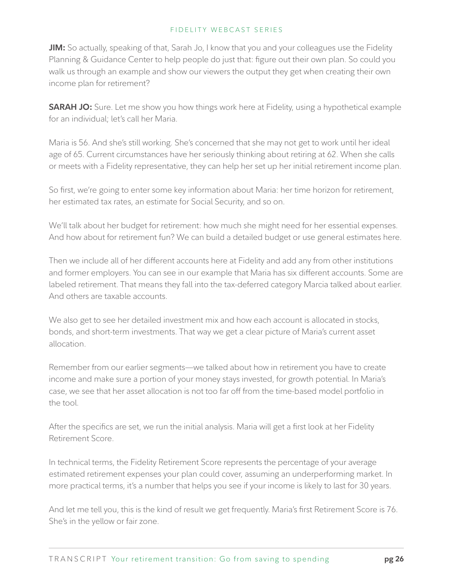**JIM:** So actually, speaking of that, Sarah Jo, I know that you and your colleagues use the Fidelity Planning & Guidance Center to help people do just that: figure out their own plan. So could you walk us through an example and show our viewers the output they get when creating their own income plan for retirement?

**SARAH JO:** Sure. Let me show you how things work here at Fidelity, using a hypothetical example for an individual; let's call her Maria.

Maria is 56. And she's still working. She's concerned that she may not get to work until her ideal age of 65. Current circumstances have her seriously thinking about retiring at 62. When she calls or meets with a Fidelity representative, they can help her set up her initial retirement income plan.

So first, we're going to enter some key information about Maria: her time horizon for retirement, her estimated tax rates, an estimate for Social Security, and so on.

We'll talk about her budget for retirement: how much she might need for her essential expenses. And how about for retirement fun? We can build a detailed budget or use general estimates here.

Then we include all of her different accounts here at Fidelity and add any from other institutions and former employers. You can see in our example that Maria has six different accounts. Some are labeled retirement. That means they fall into the tax-deferred category Marcia talked about earlier. And others are taxable accounts.

We also get to see her detailed investment mix and how each account is allocated in stocks, bonds, and short-term investments. That way we get a clear picture of Maria's current asset allocation.

Remember from our earlier segments—we talked about how in retirement you have to create income and make sure a portion of your money stays invested, for growth potential. In Maria's case, we see that her asset allocation is not too far off from the time-based model portfolio in the tool.

After the specifics are set, we run the initial analysis. Maria will get a first look at her Fidelity Retirement Score.

In technical terms, the Fidelity Retirement Score represents the percentage of your average estimated retirement expenses your plan could cover, assuming an underperforming market. In more practical terms, it's a number that helps you see if your income is likely to last for 30 years.

And let me tell you, this is the kind of result we get frequently. Maria's first Retirement Score is 76. She's in the yellow or fair zone.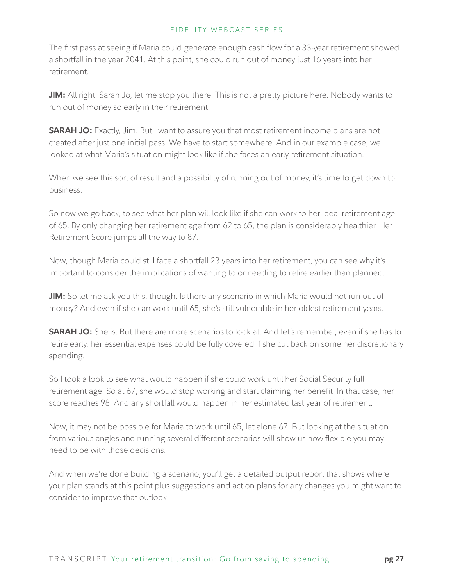The first pass at seeing if Maria could generate enough cash flow for a 33-year retirement showed a shortfall in the year 2041. At this point, she could run out of money just 16 years into her retirement.

**JIM:** All right. Sarah Jo, let me stop you there. This is not a pretty picture here. Nobody wants to run out of money so early in their retirement.

**SARAH JO:** Exactly, Jim. But I want to assure you that most retirement income plans are not created after just one initial pass. We have to start somewhere. And in our example case, we looked at what Maria's situation might look like if she faces an early-retirement situation.

When we see this sort of result and a possibility of running out of money, it's time to get down to business.

So now we go back, to see what her plan will look like if she can work to her ideal retirement age of 65. By only changing her retirement age from 62 to 65, the plan is considerably healthier. Her Retirement Score jumps all the way to 87.

Now, though Maria could still face a shortfall 23 years into her retirement, you can see why it's important to consider the implications of wanting to or needing to retire earlier than planned.

**JIM:** So let me ask you this, though. Is there any scenario in which Maria would not run out of money? And even if she can work until 65, she's still vulnerable in her oldest retirement years.

**SARAH JO:** She is. But there are more scenarios to look at. And let's remember, even if she has to retire early, her essential expenses could be fully covered if she cut back on some her discretionary spending.

So I took a look to see what would happen if she could work until her Social Security full retirement age. So at 67, she would stop working and start claiming her benefit. In that case, her score reaches 98. And any shortfall would happen in her estimated last year of retirement.

Now, it may not be possible for Maria to work until 65, let alone 67. But looking at the situation from various angles and running several different scenarios will show us how flexible you may need to be with those decisions.

And when we're done building a scenario, you'll get a detailed output report that shows where your plan stands at this point plus suggestions and action plans for any changes you might want to consider to improve that outlook.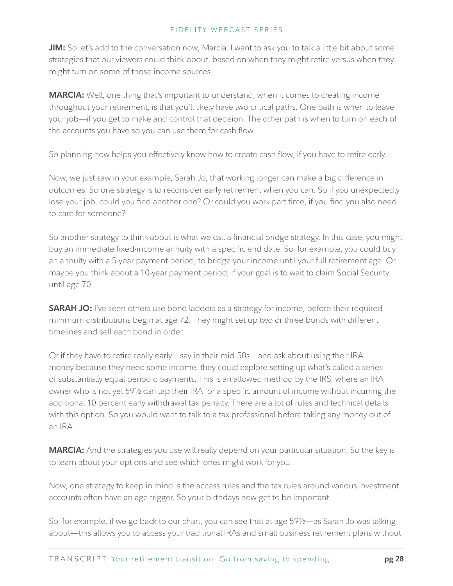**JIM:** So let's add to the conversation now, Marcia. I want to ask you to talk a little bit about some strategies that our viewers could think about, based on when they might retire versus when they might turn on some of those income sources.

**MARCIA:** Well, one thing that's important to understand, when it comes to creating income throughout your retirement, is that you'll likely have two critical paths. One path is when to leave your job—if you get to make and control that decision. The other path is when to turn on each of the accounts you have so you can use them for cash flow.

So planning now helps you effectively know how to create cash flow, if you have to retire early.

Now, we just saw in your example, Sarah Jo, that working longer can make a big difference in outcomes. So one strategy is to reconsider early retirement when you can. So if you unexpectedly lose your job, could you find another one? Or could you work part time, if you find you also need to care for someone?

So another strategy to think about is what we call a financial bridge strategy. In this case, you might buy an immediate fixed-income annuity with a specific end date. So, for example, you could buy an annuity with a 5-year payment period, to bridge your income until your full retirement age. Or maybe you think about a 10-year payment period, if your goal is to wait to claim Social Security until age 70.

**SARAH JO:** I've seen others use bond ladders as a strategy for income, before their required minimum distributions begin at age 72. They might set up two or three bonds with different timelines and sell each bond in order.

Or if they have to retire really early—say in their mid-50s—and ask about using their IRA money because they need some income, they could explore setting up what's called a series of substantially equal periodic payments. This is an allowed method by the IRS, where an IRA owner who is not yet 59½ can tap their IRA for a specific amount of income without incurring the additional 10 percent early withdrawal tax penalty. There are a lot of rules and technical details with this option. So you would want to talk to a tax professional before taking any money out of an IRA.

**MARCIA:** And the strategies you use will really depend on your particular situation. So the key is to learn about your options and see which ones might work for you.

Now, one strategy to keep in mind is the access rules and the tax rules around various investment accounts often have an age trigger. So your birthdays now get to be important.

So, for example, if we go back to our chart, you can see that at age 59½—as Sarah Jo was talking about—this allows you to access your traditional IRAs and small business retirement plans without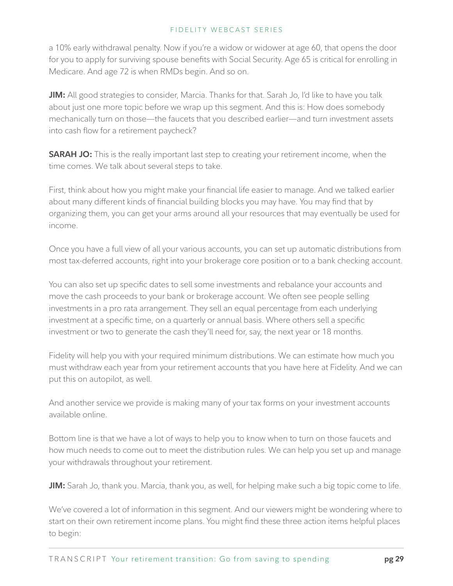a 10% early withdrawal penalty. Now if you're a widow or widower at age 60, that opens the door for you to apply for surviving spouse benefits with Social Security. Age 65 is critical for enrolling in Medicare. And age 72 is when RMDs begin. And so on.

**JIM:** All good strategies to consider, Marcia. Thanks for that. Sarah Jo, I'd like to have you talk about just one more topic before we wrap up this segment. And this is: How does somebody mechanically turn on those—the faucets that you described earlier—and turn investment assets into cash flow for a retirement paycheck?

**SARAH JO:** This is the really important last step to creating your retirement income, when the time comes. We talk about several steps to take.

First, think about how you might make your financial life easier to manage. And we talked earlier about many different kinds of financial building blocks you may have. You may find that by organizing them, you can get your arms around all your resources that may eventually be used for income.

Once you have a full view of all your various accounts, you can set up automatic distributions from most tax-deferred accounts, right into your brokerage core position or to a bank checking account.

You can also set up specific dates to sell some investments and rebalance your accounts and move the cash proceeds to your bank or brokerage account. We often see people selling investments in a pro rata arrangement. They sell an equal percentage from each underlying investment at a specific time, on a quarterly or annual basis. Where others sell a specific investment or two to generate the cash they'll need for, say, the next year or 18 months.

Fidelity will help you with your required minimum distributions. We can estimate how much you must withdraw each year from your retirement accounts that you have here at Fidelity. And we can put this on autopilot, as well.

And another service we provide is making many of your tax forms on your investment accounts available online.

Bottom line is that we have a lot of ways to help you to know when to turn on those faucets and how much needs to come out to meet the distribution rules. We can help you set up and manage your withdrawals throughout your retirement.

**JIM:** Sarah Jo, thank you. Marcia, thank you, as well, for helping make such a big topic come to life.

We've covered a lot of information in this segment. And our viewers might be wondering where to start on their own retirement income plans. You might find these three action items helpful places to begin: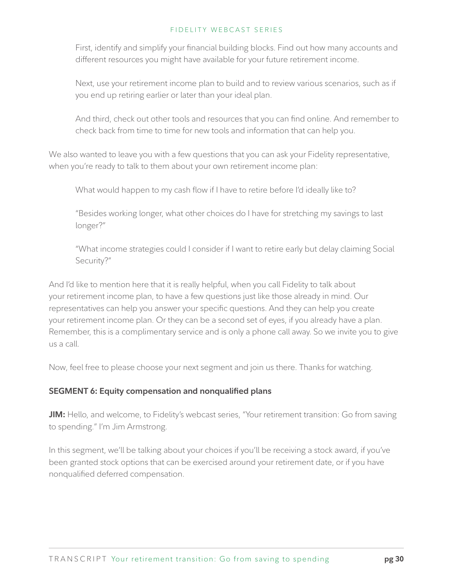First, identify and simplify your financial building blocks. Find out how many accounts and different resources you might have available for your future retirement income.

Next, use your retirement income plan to build and to review various scenarios, such as if you end up retiring earlier or later than your ideal plan.

And third, check out other tools and resources that you can find online. And remember to check back from time to time for new tools and information that can help you.

We also wanted to leave you with a few questions that you can ask your Fidelity representative, when you're ready to talk to them about your own retirement income plan:

What would happen to my cash flow if I have to retire before I'd ideally like to?

"Besides working longer, what other choices do I have for stretching my savings to last longer?"

"What income strategies could I consider if I want to retire early but delay claiming Social Security?"

And I'd like to mention here that it is really helpful, when you call Fidelity to talk about your retirement income plan, to have a few questions just like those already in mind. Our representatives can help you answer your specific questions. And they can help you create your retirement income plan. Or they can be a second set of eyes, if you already have a plan. Remember, this is a complimentary service and is only a phone call away. So we invite you to give us a call.

Now, feel free to please choose your next segment and join us there. Thanks for watching.

# **SEGMENT 6: Equity compensation and nonqualified plans**

**JIM:** Hello, and welcome, to Fidelity's webcast series, "Your retirement transition: Go from saving to spending." I'm Jim Armstrong.

In this segment, we'll be talking about your choices if you'll be receiving a stock award, if you've been granted stock options that can be exercised around your retirement date, or if you have nonqualified deferred compensation.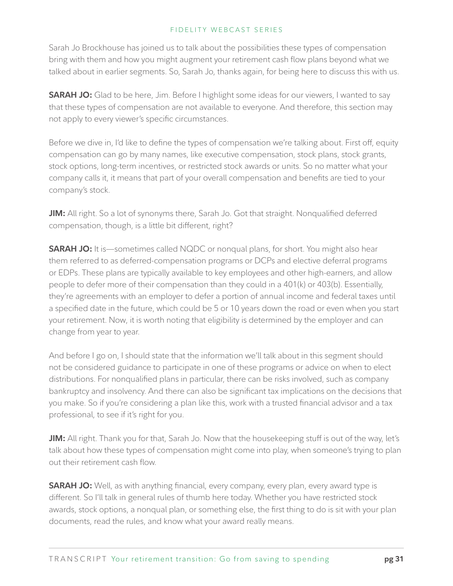Sarah Jo Brockhouse has joined us to talk about the possibilities these types of compensation bring with them and how you might augment your retirement cash flow plans beyond what we talked about in earlier segments. So, Sarah Jo, thanks again, for being here to discuss this with us.

**SARAH JO:** Glad to be here, Jim. Before I highlight some ideas for our viewers, I wanted to say that these types of compensation are not available to everyone. And therefore, this section may not apply to every viewer's specific circumstances.

Before we dive in, I'd like to define the types of compensation we're talking about. First off, equity compensation can go by many names, like executive compensation, stock plans, stock grants, stock options, long-term incentives, or restricted stock awards or units. So no matter what your company calls it, it means that part of your overall compensation and benefits are tied to your company's stock.

**JIM:** All right. So a lot of synonyms there, Sarah Jo. Got that straight. Nonqualified deferred compensation, though, is a little bit different, right?

**SARAH JO:** It is—sometimes called NQDC or nonqual plans, for short. You might also hear them referred to as deferred-compensation programs or DCPs and elective deferral programs or EDPs. These plans are typically available to key employees and other high-earners, and allow people to defer more of their compensation than they could in a 401(k) or 403(b). Essentially, they're agreements with an employer to defer a portion of annual income and federal taxes until a specified date in the future, which could be 5 or 10 years down the road or even when you start your retirement. Now, it is worth noting that eligibility is determined by the employer and can change from year to year.

And before I go on, I should state that the information we'll talk about in this segment should not be considered guidance to participate in one of these programs or advice on when to elect distributions. For nonqualified plans in particular, there can be risks involved, such as company bankruptcy and insolvency. And there can also be significant tax implications on the decisions that you make. So if you're considering a plan like this, work with a trusted financial advisor and a tax professional, to see if it's right for you.

**JIM:** All right. Thank you for that, Sarah Jo. Now that the housekeeping stuff is out of the way, let's talk about how these types of compensation might come into play, when someone's trying to plan out their retirement cash flow.

**SARAH JO:** Well, as with anything financial, every company, every plan, every award type is different. So I'll talk in general rules of thumb here today. Whether you have restricted stock awards, stock options, a nonqual plan, or something else, the first thing to do is sit with your plan documents, read the rules, and know what your award really means.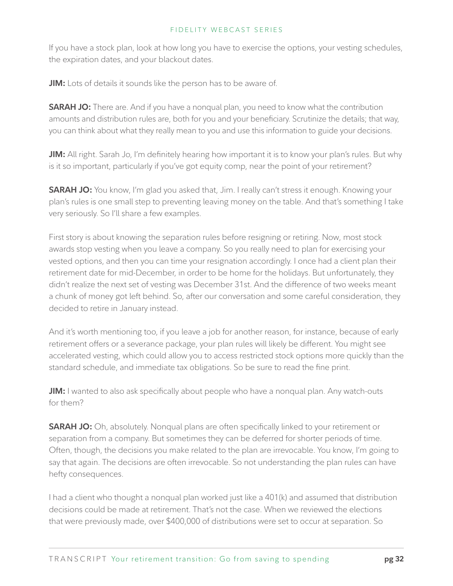If you have a stock plan, look at how long you have to exercise the options, your vesting schedules, the expiration dates, and your blackout dates.

**JIM:** Lots of details it sounds like the person has to be aware of.

**SARAH JO:** There are. And if you have a nonqual plan, you need to know what the contribution amounts and distribution rules are, both for you and your beneficiary. Scrutinize the details; that way, you can think about what they really mean to you and use this information to guide your decisions.

**JIM:** All right. Sarah Jo, I'm definitely hearing how important it is to know your plan's rules. But why is it so important, particularly if you've got equity comp, near the point of your retirement?

**SARAH JO:** You know, I'm glad you asked that, Jim. I really can't stress it enough. Knowing your plan's rules is one small step to preventing leaving money on the table. And that's something I take very seriously. So I'll share a few examples.

First story is about knowing the separation rules before resigning or retiring. Now, most stock awards stop vesting when you leave a company. So you really need to plan for exercising your vested options, and then you can time your resignation accordingly. I once had a client plan their retirement date for mid-December, in order to be home for the holidays. But unfortunately, they didn't realize the next set of vesting was December 31st. And the difference of two weeks meant a chunk of money got left behind. So, after our conversation and some careful consideration, they decided to retire in January instead.

And it's worth mentioning too, if you leave a job for another reason, for instance, because of early retirement offers or a severance package, your plan rules will likely be different. You might see accelerated vesting, which could allow you to access restricted stock options more quickly than the standard schedule, and immediate tax obligations. So be sure to read the fine print.

**JIM:** I wanted to also ask specifically about people who have a nonqual plan. Any watch-outs for them?

**SARAH JO:** Oh, absolutely. Nonqual plans are often specifically linked to your retirement or separation from a company. But sometimes they can be deferred for shorter periods of time. Often, though, the decisions you make related to the plan are irrevocable. You know, I'm going to say that again. The decisions are often irrevocable. So not understanding the plan rules can have hefty consequences.

I had a client who thought a nonqual plan worked just like a 401(k) and assumed that distribution decisions could be made at retirement. That's not the case. When we reviewed the elections that were previously made, over \$400,000 of distributions were set to occur at separation. So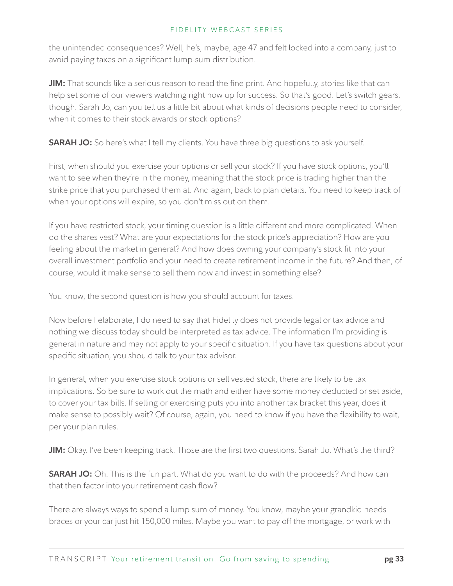the unintended consequences? Well, he's, maybe, age 47 and felt locked into a company, just to avoid paying taxes on a significant lump-sum distribution.

**JIM:** That sounds like a serious reason to read the fine print. And hopefully, stories like that can help set some of our viewers watching right now up for success. So that's good. Let's switch gears, though. Sarah Jo, can you tell us a little bit about what kinds of decisions people need to consider, when it comes to their stock awards or stock options?

**SARAH JO:** So here's what I tell my clients. You have three big questions to ask yourself.

First, when should you exercise your options or sell your stock? If you have stock options, you'll want to see when they're in the money, meaning that the stock price is trading higher than the strike price that you purchased them at. And again, back to plan details. You need to keep track of when your options will expire, so you don't miss out on them.

If you have restricted stock, your timing question is a little different and more complicated. When do the shares vest? What are your expectations for the stock price's appreciation? How are you feeling about the market in general? And how does owning your company's stock fit into your overall investment portfolio and your need to create retirement income in the future? And then, of course, would it make sense to sell them now and invest in something else?

You know, the second question is how you should account for taxes.

Now before I elaborate, I do need to say that Fidelity does not provide legal or tax advice and nothing we discuss today should be interpreted as tax advice. The information I'm providing is general in nature and may not apply to your specific situation. If you have tax questions about your specific situation, you should talk to your tax advisor.

In general, when you exercise stock options or sell vested stock, there are likely to be tax implications. So be sure to work out the math and either have some money deducted or set aside, to cover your tax bills. If selling or exercising puts you into another tax bracket this year, does it make sense to possibly wait? Of course, again, you need to know if you have the flexibility to wait, per your plan rules.

**JIM:** Okay. I've been keeping track. Those are the first two questions, Sarah Jo. What's the third?

**SARAH JO:** Oh. This is the fun part. What do you want to do with the proceeds? And how can that then factor into your retirement cash flow?

There are always ways to spend a lump sum of money. You know, maybe your grandkid needs braces or your car just hit 150,000 miles. Maybe you want to pay off the mortgage, or work with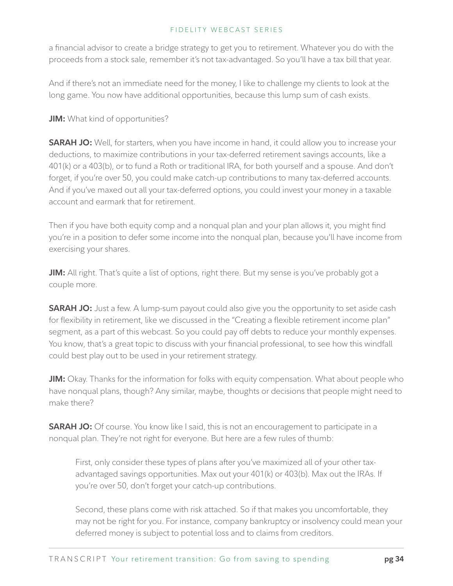a financial advisor to create a bridge strategy to get you to retirement. Whatever you do with the proceeds from a stock sale, remember it's not tax-advantaged. So you'll have a tax bill that year.

And if there's not an immediate need for the money, I like to challenge my clients to look at the long game. You now have additional opportunities, because this lump sum of cash exists.

**JIM:** What kind of opportunities?

**SARAH JO:** Well, for starters, when you have income in hand, it could allow you to increase your deductions, to maximize contributions in your tax-deferred retirement savings accounts, like a 401(k) or a 403(b), or to fund a Roth or traditional IRA, for both yourself and a spouse. And don't forget, if you're over 50, you could make catch-up contributions to many tax-deferred accounts. And if you've maxed out all your tax-deferred options, you could invest your money in a taxable account and earmark that for retirement.

Then if you have both equity comp and a nonqual plan and your plan allows it, you might find you're in a position to defer some income into the nonqual plan, because you'll have income from exercising your shares.

**JIM:** All right. That's quite a list of options, right there. But my sense is you've probably got a couple more.

**SARAH JO:** Just a few. A lump-sum payout could also give you the opportunity to set aside cash for flexibility in retirement, like we discussed in the "Creating a flexible retirement income plan" segment, as a part of this webcast. So you could pay off debts to reduce your monthly expenses. You know, that's a great topic to discuss with your financial professional, to see how this windfall could best play out to be used in your retirement strategy.

**JIM:** Okay. Thanks for the information for folks with equity compensation. What about people who have nonqual plans, though? Any similar, maybe, thoughts or decisions that people might need to make there?

**SARAH JO:** Of course. You know like I said, this is not an encouragement to participate in a nonqual plan. They're not right for everyone. But here are a few rules of thumb:

First, only consider these types of plans after you've maximized all of your other taxadvantaged savings opportunities. Max out your 401(k) or 403(b). Max out the IRAs. If you're over 50, don't forget your catch-up contributions.

Second, these plans come with risk attached. So if that makes you uncomfortable, they may not be right for you. For instance, company bankruptcy or insolvency could mean your deferred money is subject to potential loss and to claims from creditors.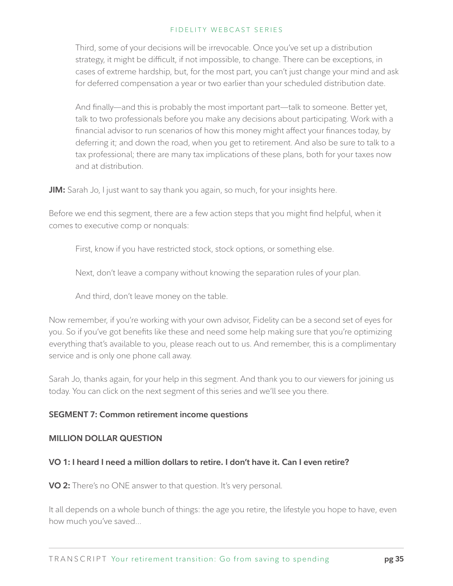Third, some of your decisions will be irrevocable. Once you've set up a distribution strategy, it might be difficult, if not impossible, to change. There can be exceptions, in cases of extreme hardship, but, for the most part, you can't just change your mind and ask for deferred compensation a year or two earlier than your scheduled distribution date.

And finally—and this is probably the most important part—talk to someone. Better yet, talk to two professionals before you make any decisions about participating. Work with a financial advisor to run scenarios of how this money might affect your finances today, by deferring it; and down the road, when you get to retirement. And also be sure to talk to a tax professional; there are many tax implications of these plans, both for your taxes now and at distribution.

**JIM:** Sarah Jo, I just want to say thank you again, so much, for your insights here.

Before we end this segment, there are a few action steps that you might find helpful, when it comes to executive comp or nonquals:

First, know if you have restricted stock, stock options, or something else.

Next, don't leave a company without knowing the separation rules of your plan.

And third, don't leave money on the table.

Now remember, if you're working with your own advisor, Fidelity can be a second set of eyes for you. So if you've got benefits like these and need some help making sure that you're optimizing everything that's available to you, please reach out to us. And remember, this is a complimentary service and is only one phone call away.

Sarah Jo, thanks again, for your help in this segment. And thank you to our viewers for joining us today. You can click on the next segment of this series and we'll see you there.

# **SEGMENT 7: Common retirement income questions**

### **MILLION DOLLAR QUESTION**

# **VO 1: I heard I need a million dollars to retire. I don't have it. Can I even retire?**

**VO 2:** There's no ONE answer to that question. It's very personal.

It all depends on a whole bunch of things: the age you retire, the lifestyle you hope to have, even how much you've saved...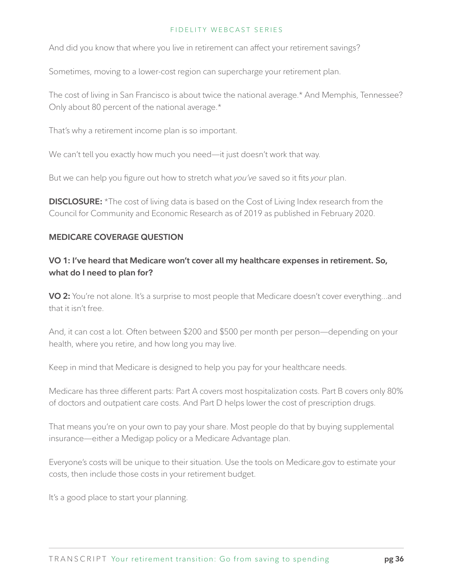And did you know that where you live in retirement can affect your retirement savings?

Sometimes, moving to a lower-cost region can supercharge your retirement plan.

The cost of living in San Francisco is about twice the national average.\* And Memphis, Tennessee? Only about 80 percent of the national average.\*

That's why a retirement income plan is so important.

We can't tell you exactly how much you need—it just doesn't work that way.

But we can help you figure out how to stretch what *you've* saved so it fits *your* plan.

**DISCLOSURE:** \*The cost of living data is based on the Cost of Living Index research from the Council for Community and Economic Research as of 2019 as published in February 2020.

# **MEDICARE COVERAGE QUESTION**

# **VO 1: I've heard that Medicare won't cover all my healthcare expenses in retirement. So, what do I need to plan for?**

**VO 2:** You're not alone. It's a surprise to most people that Medicare doesn't cover everything…and that it isn't free.

And, it can cost a lot. Often between \$200 and \$500 per month per person—depending on your health, where you retire, and how long you may live.

Keep in mind that Medicare is designed to help you pay for your healthcare needs.

Medicare has three different parts: Part A covers most hospitalization costs. Part B covers only 80% of doctors and outpatient care costs. And Part D helps lower the cost of prescription drugs.

That means you're on your own to pay your share. Most people do that by buying supplemental insurance—either a Medigap policy or a Medicare Advantage plan.

Everyone's costs will be unique to their situation. Use the tools on Medicare.gov to estimate your costs, then include those costs in your retirement budget.

It's a good place to start your planning.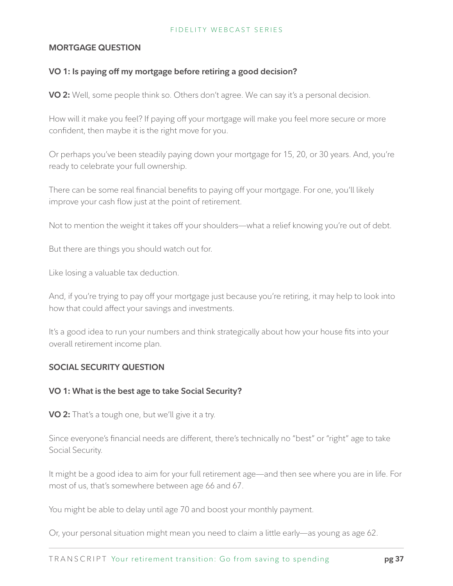## **MORTGAGE QUESTION**

# **VO 1: Is paying off my mortgage before retiring a good decision?**

**VO 2:** Well, some people think so. Others don't agree. We can say it's a personal decision.

How will it make you feel? If paying off your mortgage will make you feel more secure or more confident, then maybe it is the right move for you.

Or perhaps you've been steadily paying down your mortgage for 15, 20, or 30 years. And, you're ready to celebrate your full ownership.

There can be some real financial benefits to paying off your mortgage. For one, you'll likely improve your cash flow just at the point of retirement.

Not to mention the weight it takes off your shoulders—what a relief knowing you're out of debt.

But there are things you should watch out for.

Like losing a valuable tax deduction.

And, if you're trying to pay off your mortgage just because you're retiring, it may help to look into how that could affect your savings and investments.

It's a good idea to run your numbers and think strategically about how your house fits into your overall retirement income plan.

# **SOCIAL SECURITY QUESTION**

### **VO 1: What is the best age to take Social Security?**

**VO 2:** That's a tough one, but we'll give it a try.

Since everyone's financial needs are different, there's technically no "best" or "right" age to take Social Security.

It might be a good idea to aim for your full retirement age—and then see where you are in life. For most of us, that's somewhere between age 66 and 67.

You might be able to delay until age 70 and boost your monthly payment.

Or, your personal situation might mean you need to claim a little early—as young as age 62.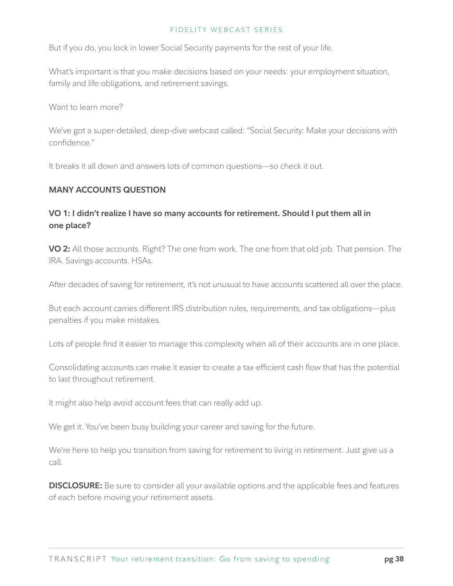But if you do, you lock in lower Social Security payments for the rest of your life.

What's important is that you make decisions based on your needs: your employment situation, family and life obligations, and retirement savings.

Want to learn more?

We've got a super-detailed, deep-dive webcast called: "Social Security: Make your decisions with confidence."

It breaks it all down and answers lots of common questions—so check it out.

## **MANY ACCOUNTS QUESTION**

# **VO 1: I didn't realize I have so many accounts for retirement. Should I put them all in one place?**

**VO 2:** All those accounts. Right? The one from work. The one from that old job. That pension. The IRA. Savings accounts. HSAs.

After decades of saving for retirement, it's not unusual to have accounts scattered all over the place.

But each account carries different IRS distribution rules, requirements, and tax obligations—plus penalties if you make mistakes.

Lots of people find it easier to manage this complexity when all of their accounts are in one place.

Consolidating accounts can make it easier to create a tax-efficient cash flow that has the potential to last throughout retirement.

It might also help avoid account fees that can really add up.

We get it. You've been busy building your career and saving for the future.

We're here to help you transition from saving for retirement to living in retirement. Just give us a call.

**DISCLOSURE:** Be sure to consider all your available options and the applicable fees and features of each before moving your retirement assets.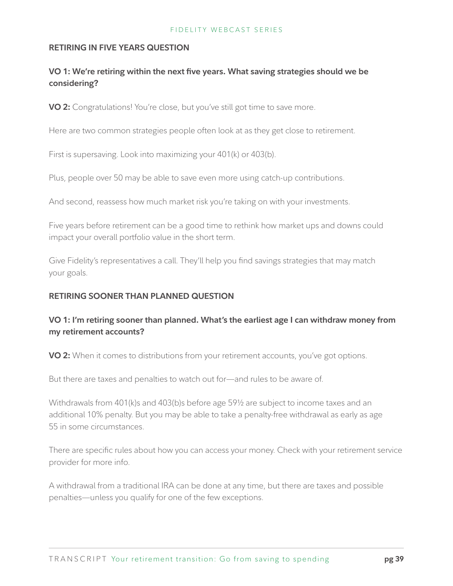## **RETIRING IN FIVE YEARS QUESTION**

# **VO 1: We're retiring within the next five years. What saving strategies should we be considering?**

**VO 2:** Congratulations! You're close, but you've still got time to save more.

Here are two common strategies people often look at as they get close to retirement.

First is supersaving. Look into maximizing your 401(k) or 403(b).

Plus, people over 50 may be able to save even more using catch-up contributions.

And second, reassess how much market risk you're taking on with your investments.

Five years before retirement can be a good time to rethink how market ups and downs could impact your overall portfolio value in the short term.

Give Fidelity's representatives a call. They'll help you find savings strategies that may match your goals.

# **RETIRING SOONER THAN PLANNED QUESTION**

# **VO 1: I'm retiring sooner than planned. What's the earliest age I can withdraw money from my retirement accounts?**

**VO 2:** When it comes to distributions from your retirement accounts, you've got options.

But there are taxes and penalties to watch out for—and rules to be aware of.

Withdrawals from 401(k)s and 403(b)s before age 59½ are subject to income taxes and an additional 10% penalty. But you may be able to take a penalty-free withdrawal as early as age 55 in some circumstances.

There are specific rules about how you can access your money. Check with your retirement service provider for more info.

A withdrawal from a traditional IRA can be done at any time, but there are taxes and possible penalties—unless you qualify for one of the few exceptions.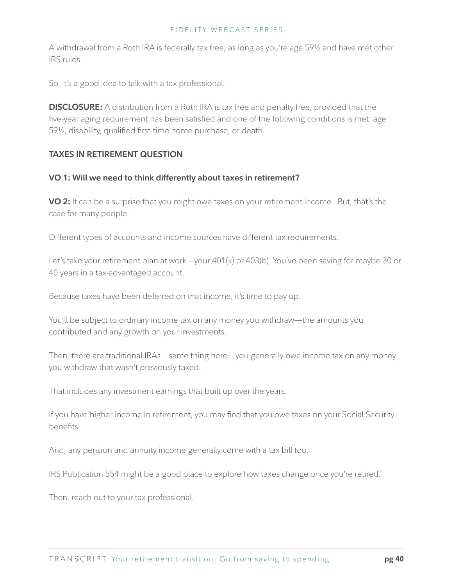A withdrawal from a Roth IRA is federally tax free, as long as you're age 59½ and have met other IRS rules.

So, it's a good idea to talk with a tax professional.

**DISCLOSURE:** A distribution from a Roth IRA is tax free and penalty free, provided that the five-year aging requirement has been satisfied and one of the following conditions is met: age 59½, disability, qualified first-time home purchase, or death.

## **TAXES IN RETIREMENT QUESTION**

### **VO 1: Will we need to think differently about taxes in retirement?**

**VO 2:** It can be a surprise that you might owe taxes on your retirement income. But, that's the case for many people.

Different types of accounts and income sources have different tax requirements.

Let's take your retirement plan at work—your 401(k) or 403(b). You've been saving for maybe 30 or 40 years in a tax-advantaged account.

Because taxes have been deferred on that income, it's time to pay up.

You'll be subject to ordinary income tax on any money you withdraw—the amounts you contributed and any growth on your investments.

Then, there are traditional IRAs—same thing here—you generally owe income tax on any money you withdraw that wasn't previously taxed.

That includes any investment earnings that built up over the years.

If you have higher income in retirement, you may find that you owe taxes on your Social Security benefits.

And, any pension and annuity income generally come with a tax bill too.

IRS Publication 554 might be a good place to explore how taxes change once you're retired.

Then, reach out to your tax professional.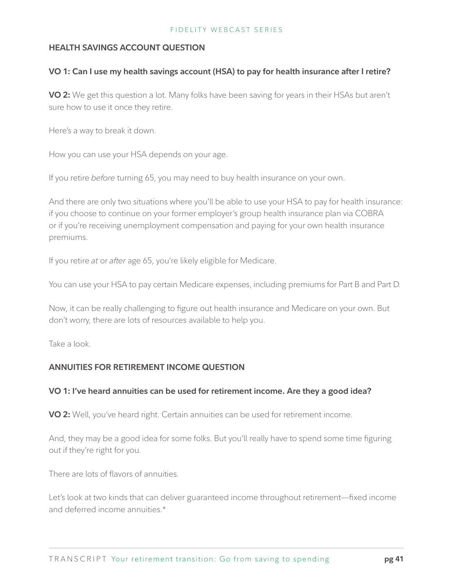## **HEALTH SAVINGS ACCOUNT QUESTION**

## **VO 1: Can I use my health savings account (HSA) to pay for health insurance after I retire?**

**VO 2:** We get this question a lot. Many folks have been saving for years in their HSAs but aren't sure how to use it once they retire.

Here's a way to break it down.

How you can use your HSA depends on your age.

If you retire *before* turning 65, you may need to buy health insurance on your own.

And there are only two situations where you'll be able to use your HSA to pay for health insurance: if you choose to continue on your former employer's group health insurance plan via COBRA or if you're receiving unemployment compensation and paying for your own health insurance premiums.

If you retire *at* or *after* age 65, you're likely eligible for Medicare.

You can use your HSA to pay certain Medicare expenses, including premiums for Part B and Part D.

Now, it can be really challenging to figure out health insurance and Medicare on your own. But don't worry, there are lots of resources available to help you.

Take a look.

# **ANNUITIES FOR RETIREMENT INCOME QUESTION**

# **VO 1: I've heard annuities can be used for retirement income. Are they a good idea?**

**VO 2:** Well, you've heard right. Certain annuities can be used for retirement income.

And, they may be a good idea for some folks. But you'll really have to spend some time figuring out if they're right for you.

There are lots of flavors of annuities.

Let's look at two kinds that can deliver guaranteed income throughout retirement—fixed income and deferred income annuities.\*